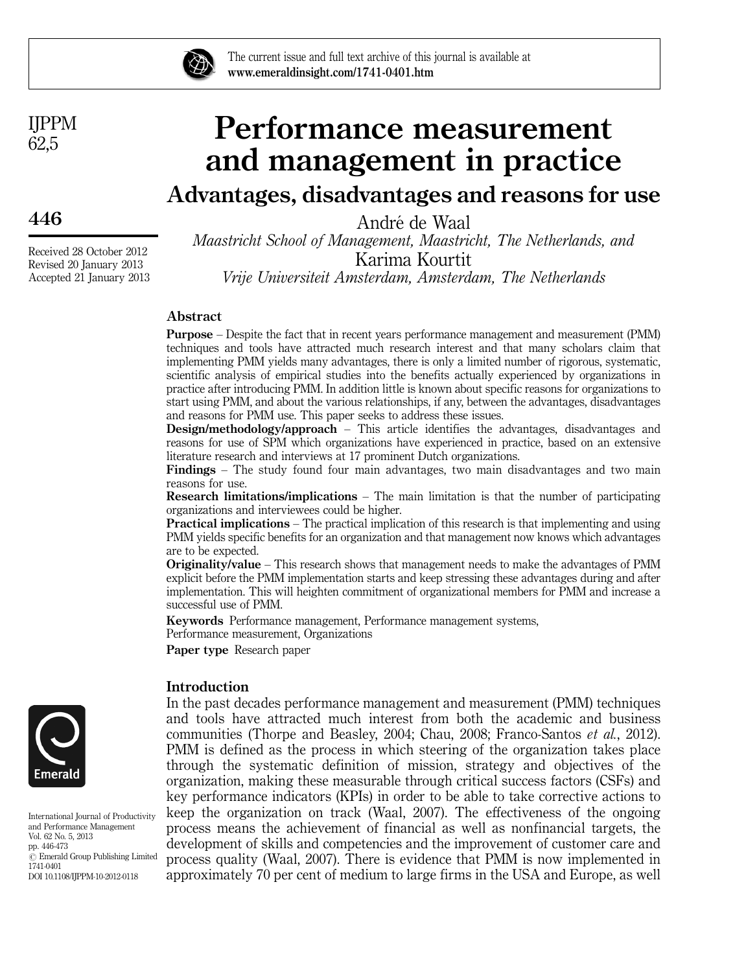

The current issue and full text archive of this journal is available at www.emeraldinsight.com/1741-0401.htm

# Performance measurement and management in practice Advantages, disadvantages and reasons for use

André de Waal

Maastricht School of Management, Maastricht, The Netherlands, and Karima Kourtit

Vrije Universiteit Amsterdam, Amsterdam, The Netherlands

# Abstract

Purpose – Despite the fact that in recent years performance management and measurement (PMM) techniques and tools have attracted much research interest and that many scholars claim that implementing PMM yields many advantages, there is only a limited number of rigorous, systematic, scientific analysis of empirical studies into the benefits actually experienced by organizations in practice after introducing PMM. In addition little is known about specific reasons for organizations to start using PMM, and about the various relationships, if any, between the advantages, disadvantages and reasons for PMM use. This paper seeks to address these issues.

Design/methodology/approach – This article identifies the advantages, disadvantages and reasons for use of SPM which organizations have experienced in practice, based on an extensive literature research and interviews at 17 prominent Dutch organizations.

Findings – The study found four main advantages, two main disadvantages and two main reasons for use.

Research limitations/implications – The main limitation is that the number of participating organizations and interviewees could be higher.

Practical implications – The practical implication of this research is that implementing and using PMM yields specific benefits for an organization and that management now knows which advantages are to be expected.

**Originality/value** – This research shows that management needs to make the advantages of PMM explicit before the PMM implementation starts and keep stressing these advantages during and after implementation. This will heighten commitment of organizational members for PMM and increase a successful use of PMM.

Keywords Performance management, Performance management systems, Performance measurement, Organizations

Paper type Research paper

## Introduction

In the past decades performance management and measurement (PMM) techniques and tools have attracted much interest from both the academic and business communities (Thorpe and Beasley, 2004; Chau, 2008; Franco-Santos et al., 2012). PMM is defined as the process in which steering of the organization takes place through the systematic definition of mission, strategy and objectives of the organization, making these measurable through critical success factors (CSFs) and key performance indicators (KPIs) in order to be able to take corrective actions to keep the organization on track (Waal, 2007). The effectiveness of the ongoing process means the achievement of financial as well as nonfinancial targets, the development of skills and competencies and the improvement of customer care and process quality (Waal, 2007). There is evidence that PMM is now implemented in approximately 70 per cent of medium to large firms in the USA and Europe, as well



International Journal of Productivity and Performance Management Vol. 62 No. 5, 2013 pp. 446-473  $\odot$  Emerald Group Publishing Limited 1741-0401 DOI 10.1108/IJPPM-10-2012-0118

# IJPPM 62,5

# 446

Received 28 October 2012 Revised 20 January 2013 Accepted 21 January 2013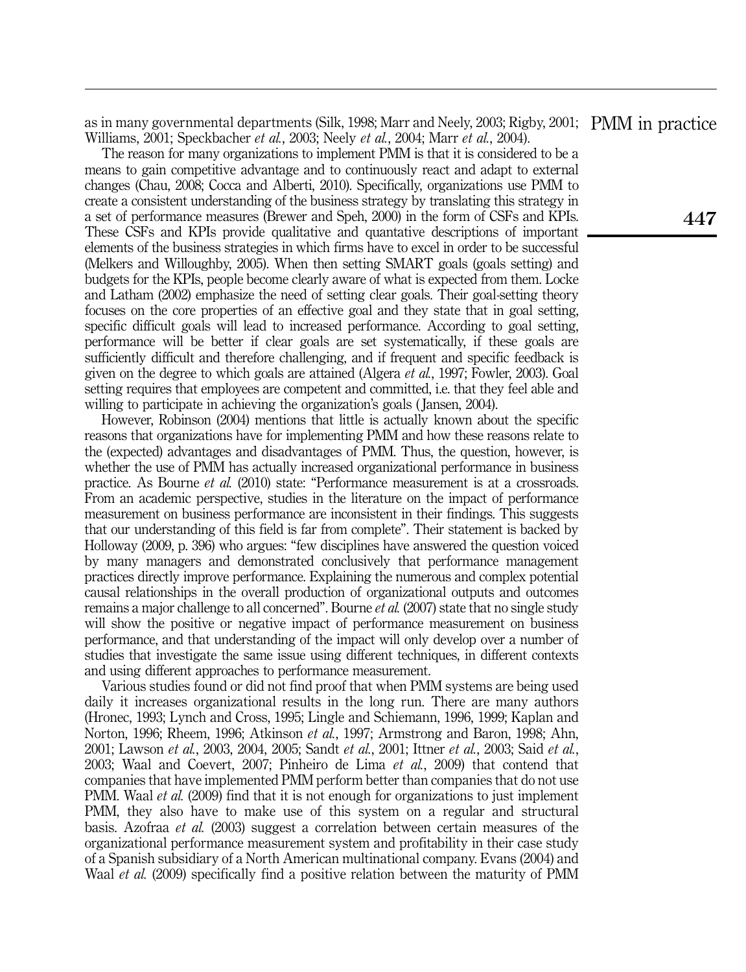as in many governmental departments (Silk, 1998; Marr and Neely, 2003; Rigby, 2001; PMM in practiceWilliams, 2001; Speckbacher *et al.*, 2003; Neely *et al.*, 2004; Marr *et al.*, 2004).

The reason for many organizations to implement PMM is that it is considered to be a means to gain competitive advantage and to continuously react and adapt to external changes (Chau, 2008; Cocca and Alberti, 2010). Specifically, organizations use PMM to create a consistent understanding of the business strategy by translating this strategy in a set of performance measures (Brewer and Speh, 2000) in the form of CSFs and KPIs. These CSFs and KPIs provide qualitative and quantative descriptions of important elements of the business strategies in which firms have to excel in order to be successful (Melkers and Willoughby, 2005). When then setting SMART goals (goals setting) and budgets for the KPIs, people become clearly aware of what is expected from them. Locke and Latham (2002) emphasize the need of setting clear goals. Their goal-setting theory focuses on the core properties of an effective goal and they state that in goal setting, specific difficult goals will lead to increased performance. According to goal setting, performance will be better if clear goals are set systematically, if these goals are sufficiently difficult and therefore challenging, and if frequent and specific feedback is given on the degree to which goals are attained (Algera et al., 1997; Fowler, 2003). Goal setting requires that employees are competent and committed, i.e. that they feel able and willing to participate in achieving the organization's goals ( Jansen, 2004).

However, Robinson (2004) mentions that little is actually known about the specific reasons that organizations have for implementing PMM and how these reasons relate to the (expected) advantages and disadvantages of PMM. Thus, the question, however, is whether the use of PMM has actually increased organizational performance in business practice. As Bourne et al. (2010) state: "Performance measurement is at a crossroads. From an academic perspective, studies in the literature on the impact of performance measurement on business performance are inconsistent in their findings. This suggests that our understanding of this field is far from complete". Their statement is backed by Holloway (2009, p. 396) who argues: "few disciplines have answered the question voiced by many managers and demonstrated conclusively that performance management practices directly improve performance. Explaining the numerous and complex potential causal relationships in the overall production of organizational outputs and outcomes remains a major challenge to all concerned". Bourne *et al.* (2007) state that no single study will show the positive or negative impact of performance measurement on business performance, and that understanding of the impact will only develop over a number of studies that investigate the same issue using different techniques, in different contexts and using different approaches to performance measurement.

Various studies found or did not find proof that when PMM systems are being used daily it increases organizational results in the long run. There are many authors (Hronec, 1993; Lynch and Cross, 1995; Lingle and Schiemann, 1996, 1999; Kaplan and Norton, 1996; Rheem, 1996; Atkinson et al., 1997; Armstrong and Baron, 1998; Ahn, 2001; Lawson et al., 2003, 2004, 2005; Sandt et al., 2001; Ittner et al., 2003; Said et al., 2003; Waal and Coevert, 2007; Pinheiro de Lima et al., 2009) that contend that companies that have implemented PMM perform better than companies that do not use PMM. Waal *et al.* (2009) find that it is not enough for organizations to just implement PMM, they also have to make use of this system on a regular and structural basis. Azofraa et al. (2003) suggest a correlation between certain measures of the organizational performance measurement system and profitability in their case study of a Spanish subsidiary of a North American multinational company. Evans (2004) and Waal *et al.* (2009) specifically find a positive relation between the maturity of PMM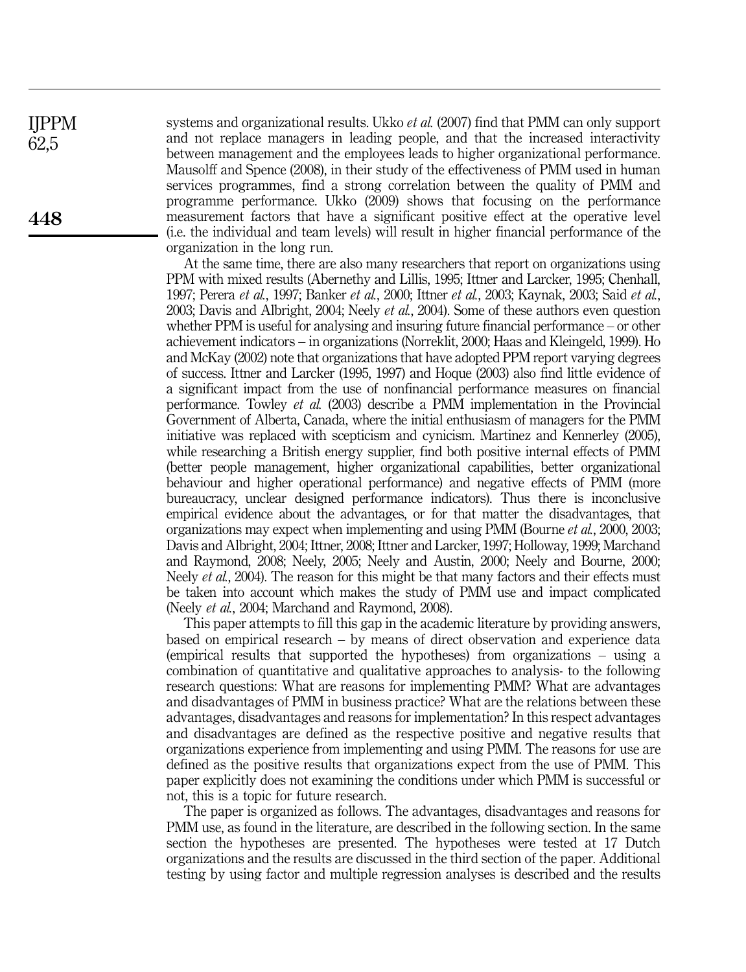systems and organizational results. Ukko *et al.* (2007) find that PMM can only support and not replace managers in leading people, and that the increased interactivity between management and the employees leads to higher organizational performance. Mausolff and Spence (2008), in their study of the effectiveness of PMM used in human services programmes, find a strong correlation between the quality of PMM and programme performance. Ukko (2009) shows that focusing on the performance measurement factors that have a significant positive effect at the operative level (i.e. the individual and team levels) will result in higher financial performance of the organization in the long run.

At the same time, there are also many researchers that report on organizations using PPM with mixed results (Abernethy and Lillis, 1995; Ittner and Larcker, 1995; Chenhall, 1997; Perera et al., 1997; Banker et al., 2000; Ittner et al., 2003; Kaynak, 2003; Said et al., 2003; Davis and Albright, 2004; Neely et al., 2004). Some of these authors even question whether PPM is useful for analysing and insuring future financial performance – or other achievement indicators – in organizations (Norreklit, 2000; Haas and Kleingeld, 1999). Ho and McKay (2002) note that organizations that have adopted PPM report varying degrees of success. Ittner and Larcker (1995, 1997) and Hoque (2003) also find little evidence of a significant impact from the use of nonfinancial performance measures on financial performance. Towley et al. (2003) describe a PMM implementation in the Provincial Government of Alberta, Canada, where the initial enthusiasm of managers for the PMM initiative was replaced with scepticism and cynicism. Martinez and Kennerley (2005), while researching a British energy supplier, find both positive internal effects of PMM (better people management, higher organizational capabilities, better organizational behaviour and higher operational performance) and negative effects of PMM (more bureaucracy, unclear designed performance indicators). Thus there is inconclusive empirical evidence about the advantages, or for that matter the disadvantages, that organizations may expect when implementing and using PMM (Bourne et al., 2000, 2003; Davis and Albright, 2004; Ittner, 2008; Ittner and Larcker, 1997; Holloway, 1999; Marchand and Raymond, 2008; Neely, 2005; Neely and Austin, 2000; Neely and Bourne, 2000; Neely *et al.*, 2004). The reason for this might be that many factors and their effects must be taken into account which makes the study of PMM use and impact complicated (Neely et al., 2004; Marchand and Raymond, 2008).

This paper attempts to fill this gap in the academic literature by providing answers, based on empirical research – by means of direct observation and experience data (empirical results that supported the hypotheses) from organizations – using a combination of quantitative and qualitative approaches to analysis- to the following research questions: What are reasons for implementing PMM? What are advantages and disadvantages of PMM in business practice? What are the relations between these advantages, disadvantages and reasons for implementation? In this respect advantages and disadvantages are defined as the respective positive and negative results that organizations experience from implementing and using PMM. The reasons for use are defined as the positive results that organizations expect from the use of PMM. This paper explicitly does not examining the conditions under which PMM is successful or not, this is a topic for future research.

The paper is organized as follows. The advantages, disadvantages and reasons for PMM use, as found in the literature, are described in the following section. In the same section the hypotheses are presented. The hypotheses were tested at 17 Dutch organizations and the results are discussed in the third section of the paper. Additional testing by using factor and multiple regression analyses is described and the results

448

IJPPM 62,5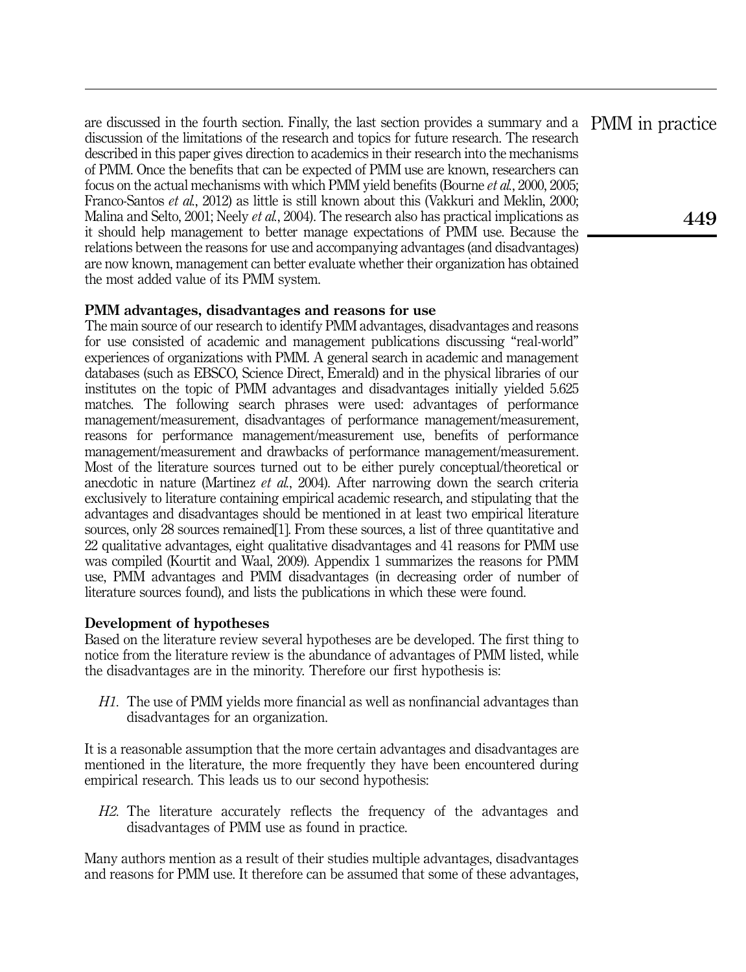are discussed in the fourth section. Finally, the last section provides a summary and a PMM in practicediscussion of the limitations of the research and topics for future research. The research described in this paper gives direction to academics in their research into the mechanisms of PMM. Once the benefits that can be expected of PMM use are known, researchers can focus on the actual mechanisms with which PMM yield benefits (Bourne et al., 2000, 2005; Franco-Santos *et al.*, 2012) as little is still known about this (Vakkuri and Meklin, 2000; Malina and Selto, 2001; Neely *et al.*, 2004). The research also has practical implications as it should help management to better manage expectations of PMM use. Because the relations between the reasons for use and accompanying advantages (and disadvantages) are now known, management can better evaluate whether their organization has obtained the most added value of its PMM system.

### PMM advantages, disadvantages and reasons for use

The main source of our research to identify PMM advantages, disadvantages and reasons for use consisted of academic and management publications discussing "real-world" experiences of organizations with PMM. A general search in academic and management databases (such as EBSCO, Science Direct, Emerald) and in the physical libraries of our institutes on the topic of PMM advantages and disadvantages initially yielded 5.625 matches. The following search phrases were used: advantages of performance management/measurement, disadvantages of performance management/measurement, reasons for performance management/measurement use, benefits of performance management/measurement and drawbacks of performance management/measurement. Most of the literature sources turned out to be either purely conceptual/theoretical or anecdotic in nature (Martinez et al., 2004). After narrowing down the search criteria exclusively to literature containing empirical academic research, and stipulating that the advantages and disadvantages should be mentioned in at least two empirical literature sources, only 28 sources remained [1]. From these sources, a list of three quantitative and 22 qualitative advantages, eight qualitative disadvantages and 41 reasons for PMM use was compiled (Kourtit and Waal, 2009). Appendix 1 summarizes the reasons for PMM use, PMM advantages and PMM disadvantages (in decreasing order of number of literature sources found), and lists the publications in which these were found.

## Development of hypotheses

Based on the literature review several hypotheses are be developed. The first thing to notice from the literature review is the abundance of advantages of PMM listed, while the disadvantages are in the minority. Therefore our first hypothesis is:

H<sub>1</sub>. The use of PMM yields more financial as well as nonfinancial advantages than disadvantages for an organization.

It is a reasonable assumption that the more certain advantages and disadvantages are mentioned in the literature, the more frequently they have been encountered during empirical research. This leads us to our second hypothesis:

H2. The literature accurately reflects the frequency of the advantages and disadvantages of PMM use as found in practice.

Many authors mention as a result of their studies multiple advantages, disadvantages and reasons for PMM use. It therefore can be assumed that some of these advantages,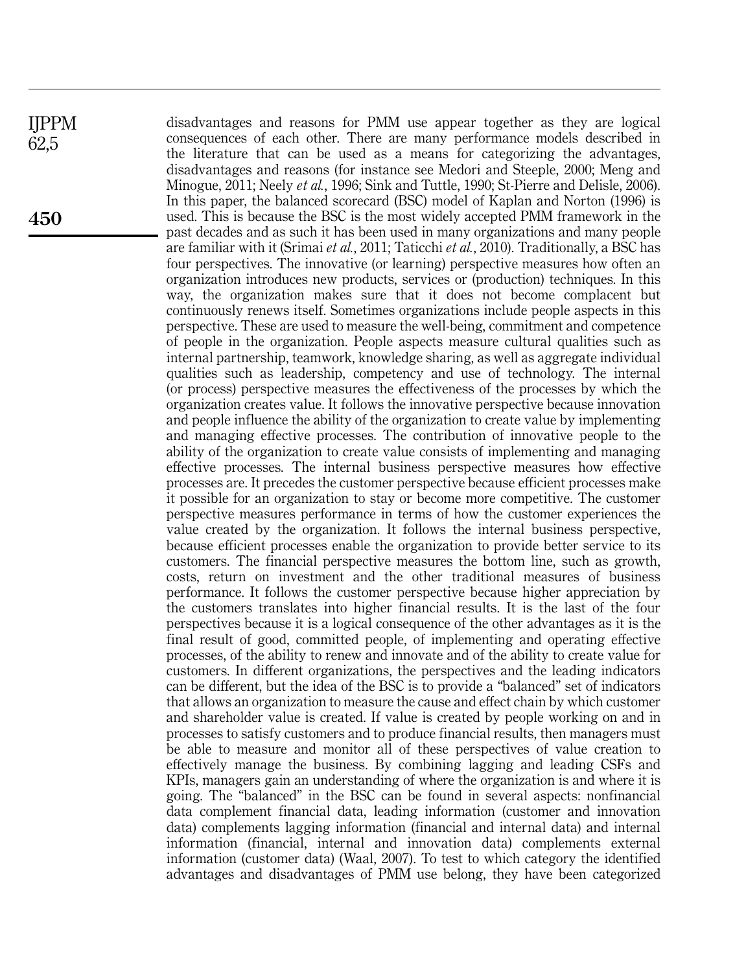IJPPM 62,5

450

disadvantages and reasons for PMM use appear together as they are logical consequences of each other. There are many performance models described in the literature that can be used as a means for categorizing the advantages, disadvantages and reasons (for instance see Medori and Steeple, 2000; Meng and Minogue, 2011; Neely et al., 1996; Sink and Tuttle, 1990; St-Pierre and Delisle, 2006). In this paper, the balanced scorecard (BSC) model of Kaplan and Norton (1996) is used. This is because the BSC is the most widely accepted PMM framework in the past decades and as such it has been used in many organizations and many people are familiar with it (Srimai et al., 2011; Taticchi et al., 2010). Traditionally, a BSC has four perspectives. The innovative (or learning) perspective measures how often an organization introduces new products, services or (production) techniques. In this way, the organization makes sure that it does not become complacent but continuously renews itself. Sometimes organizations include people aspects in this perspective. These are used to measure the well-being, commitment and competence of people in the organization. People aspects measure cultural qualities such as internal partnership, teamwork, knowledge sharing, as well as aggregate individual qualities such as leadership, competency and use of technology. The internal (or process) perspective measures the effectiveness of the processes by which the organization creates value. It follows the innovative perspective because innovation and people influence the ability of the organization to create value by implementing and managing effective processes. The contribution of innovative people to the ability of the organization to create value consists of implementing and managing effective processes. The internal business perspective measures how effective processes are. It precedes the customer perspective because efficient processes make it possible for an organization to stay or become more competitive. The customer perspective measures performance in terms of how the customer experiences the value created by the organization. It follows the internal business perspective, because efficient processes enable the organization to provide better service to its customers. The financial perspective measures the bottom line, such as growth, costs, return on investment and the other traditional measures of business performance. It follows the customer perspective because higher appreciation by the customers translates into higher financial results. It is the last of the four perspectives because it is a logical consequence of the other advantages as it is the final result of good, committed people, of implementing and operating effective processes, of the ability to renew and innovate and of the ability to create value for customers. In different organizations, the perspectives and the leading indicators can be different, but the idea of the BSC is to provide a "balanced" set of indicators that allows an organization to measure the cause and effect chain by which customer and shareholder value is created. If value is created by people working on and in processes to satisfy customers and to produce financial results, then managers must be able to measure and monitor all of these perspectives of value creation to effectively manage the business. By combining lagging and leading CSFs and KPIs, managers gain an understanding of where the organization is and where it is going. The "balanced" in the BSC can be found in several aspects: nonfinancial data complement financial data, leading information (customer and innovation data) complements lagging information (financial and internal data) and internal information (financial, internal and innovation data) complements external information (customer data) (Waal, 2007). To test to which category the identified advantages and disadvantages of PMM use belong, they have been categorized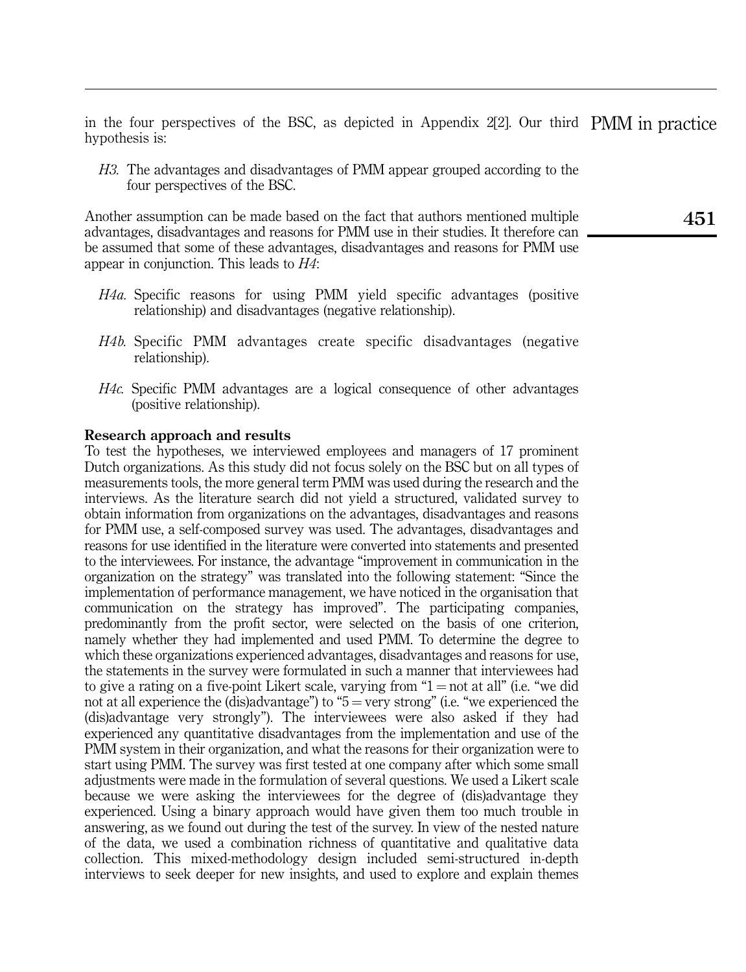in the four perspectives of the BSC, as depicted in Appendix 2[2]. Our third PMM in practicehypothesis is:

H3. The advantages and disadvantages of PMM appear grouped according to the four perspectives of the BSC.

Another assumption can be made based on the fact that authors mentioned multiple advantages, disadvantages and reasons for PMM use in their studies. It therefore can be assumed that some of these advantages, disadvantages and reasons for PMM use appear in conjunction. This leads to H4:

- H4a. Specific reasons for using PMM yield specific advantages (positive relationship) and disadvantages (negative relationship).
- H4b. Specific PMM advantages create specific disadvantages (negative relationship).
- H4c. Specific PMM advantages are a logical consequence of other advantages (positive relationship).

#### Research approach and results

To test the hypotheses, we interviewed employees and managers of 17 prominent Dutch organizations. As this study did not focus solely on the BSC but on all types of measurements tools, the more general term PMM was used during the research and the interviews. As the literature search did not yield a structured, validated survey to obtain information from organizations on the advantages, disadvantages and reasons for PMM use, a self-composed survey was used. The advantages, disadvantages and reasons for use identified in the literature were converted into statements and presented to the interviewees. For instance, the advantage "improvement in communication in the organization on the strategy" was translated into the following statement: "Since the implementation of performance management, we have noticed in the organisation that communication on the strategy has improved". The participating companies, predominantly from the profit sector, were selected on the basis of one criterion, namely whether they had implemented and used PMM. To determine the degree to which these organizations experienced advantages, disadvantages and reasons for use, the statements in the survey were formulated in such a manner that interviewees had to give a rating on a five-point Likert scale, varying from " $1 =$  not at all" (i.e. "we did not at all experience the (dis)advantage") to " $5 =$  very strong" (i.e. "we experienced the (dis)advantage very strongly"). The interviewees were also asked if they had experienced any quantitative disadvantages from the implementation and use of the PMM system in their organization, and what the reasons for their organization were to start using PMM. The survey was first tested at one company after which some small adjustments were made in the formulation of several questions. We used a Likert scale because we were asking the interviewees for the degree of (dis)advantage they experienced. Using a binary approach would have given them too much trouble in answering, as we found out during the test of the survey. In view of the nested nature of the data, we used a combination richness of quantitative and qualitative data collection. This mixed-methodology design included semi-structured in-depth interviews to seek deeper for new insights, and used to explore and explain themes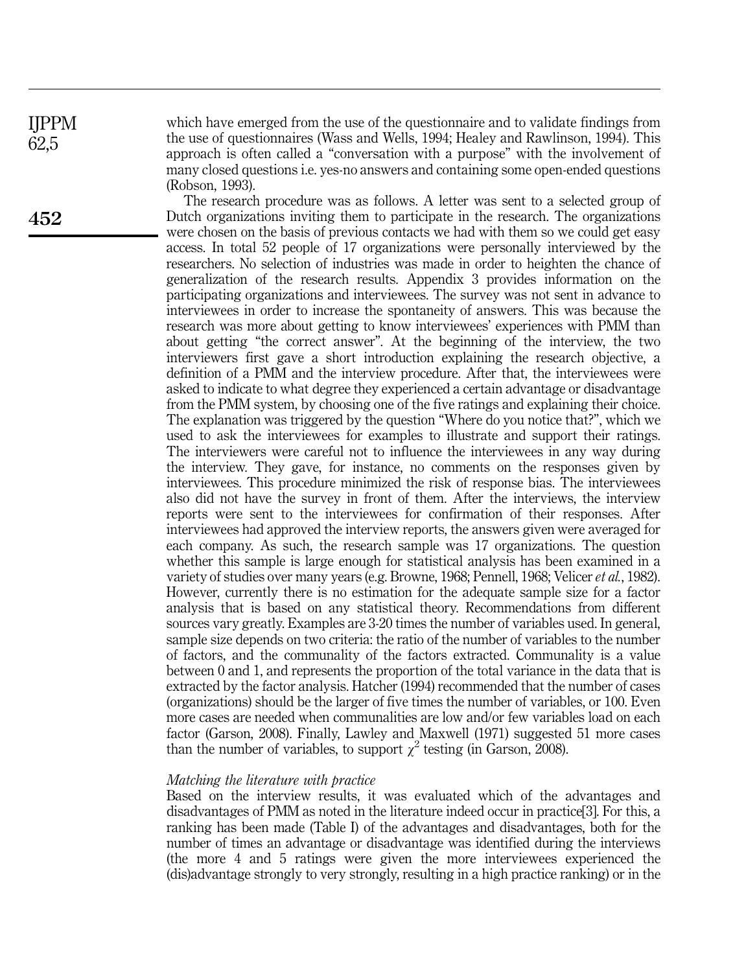which have emerged from the use of the questionnaire and to validate findings from the use of questionnaires (Wass and Wells, 1994; Healey and Rawlinson, 1994). This approach is often called a "conversation with a purpose" with the involvement of many closed questions i.e. yes-no answers and containing some open-ended questions (Robson, 1993). IJPPM 62,5

452

The research procedure was as follows. A letter was sent to a selected group of Dutch organizations inviting them to participate in the research. The organizations were chosen on the basis of previous contacts we had with them so we could get easy access. In total 52 people of 17 organizations were personally interviewed by the researchers. No selection of industries was made in order to heighten the chance of generalization of the research results. Appendix 3 provides information on the participating organizations and interviewees. The survey was not sent in advance to interviewees in order to increase the spontaneity of answers. This was because the research was more about getting to know interviewees' experiences with PMM than about getting "the correct answer". At the beginning of the interview, the two interviewers first gave a short introduction explaining the research objective, a definition of a PMM and the interview procedure. After that, the interviewees were asked to indicate to what degree they experienced a certain advantage or disadvantage from the PMM system, by choosing one of the five ratings and explaining their choice. The explanation was triggered by the question "Where do you notice that?", which we used to ask the interviewees for examples to illustrate and support their ratings. The interviewers were careful not to influence the interviewees in any way during the interview. They gave, for instance, no comments on the responses given by interviewees. This procedure minimized the risk of response bias. The interviewees also did not have the survey in front of them. After the interviews, the interview reports were sent to the interviewees for confirmation of their responses. After interviewees had approved the interview reports, the answers given were averaged for each company. As such, the research sample was 17 organizations. The question whether this sample is large enough for statistical analysis has been examined in a variety of studies over many years (e.g. Browne, 1968; Pennell, 1968; Velicer et al., 1982). However, currently there is no estimation for the adequate sample size for a factor analysis that is based on any statistical theory. Recommendations from different sources vary greatly. Examples are 3-20 times the number of variables used. In general, sample size depends on two criteria: the ratio of the number of variables to the number of factors, and the communality of the factors extracted. Communality is a value between 0 and 1, and represents the proportion of the total variance in the data that is extracted by the factor analysis. Hatcher (1994) recommended that the number of cases (organizations) should be the larger of five times the number of variables, or 100. Even more cases are needed when communalities are low and/or few variables load on each factor (Garson, 2008). Finally, Lawley and Maxwell (1971) suggested 51 more cases than the number of variables, to support  $\chi^2$  testing (in Garson, 2008).

#### Matching the literature with practice

Based on the interview results, it was evaluated which of the advantages and disadvantages of PMM as noted in the literature indeed occur in practice[3]. For this, a ranking has been made (Table I) of the advantages and disadvantages, both for the number of times an advantage or disadvantage was identified during the interviews (the more 4 and 5 ratings were given the more interviewees experienced the (dis)advantage strongly to very strongly, resulting in a high practice ranking) or in the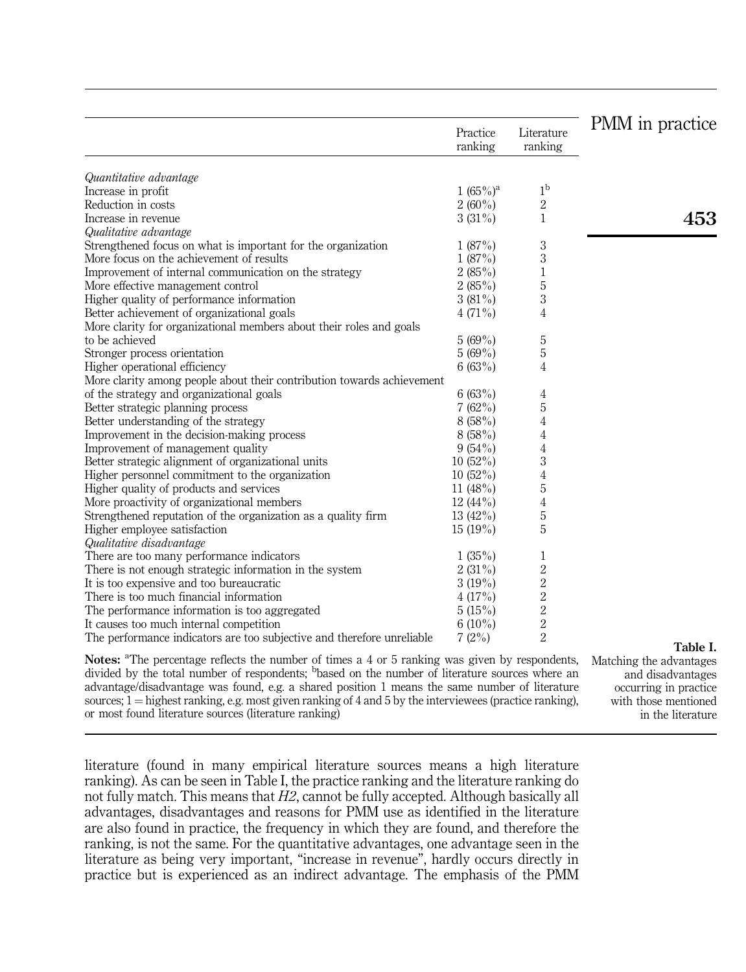|                                                                        | Practice<br>ranking | Literature<br>ranking   | PMM in practice |
|------------------------------------------------------------------------|---------------------|-------------------------|-----------------|
| Quantitative advantage                                                 |                     |                         |                 |
| Increase in profit                                                     | $1(65\%)^a$         | 1 <sup>b</sup>          |                 |
| Reduction in costs                                                     | $2(60\%)$           | $\overline{2}$          |                 |
| Increase in revenue                                                    | $3(31\%)$           | 1                       | 453             |
| Qualitative advantage                                                  |                     |                         |                 |
| Strengthened focus on what is important for the organization           | 1(87%)              | 3                       |                 |
| More focus on the achievement of results                               | 1(87%)              | 3                       |                 |
| Improvement of internal communication on the strategy                  | 2(85%)              | 1                       |                 |
| More effective management control                                      | 2(85%)              | 5                       |                 |
| Higher quality of performance information                              | $3(81\%)$           | 3                       |                 |
| Better achievement of organizational goals                             | $4(71\%)$           | $\overline{4}$          |                 |
| More clarity for organizational members about their roles and goals    |                     |                         |                 |
| to be achieved                                                         | 5(69%)              | 5                       |                 |
| Stronger process orientation                                           | 5(69%)              | 5                       |                 |
| Higher operational efficiency                                          | 6(63%)              | 4                       |                 |
| More clarity among people about their contribution towards achievement |                     |                         |                 |
| of the strategy and organizational goals                               | 6(63%)              | 4                       |                 |
| Better strategic planning process                                      | 7(62%)              | 5                       |                 |
| Better understanding of the strategy                                   | 8(58%)              | 4                       |                 |
| Improvement in the decision-making process                             | 8(58%)              | 4                       |                 |
| Improvement of management quality                                      | 9(54%)              | 4                       |                 |
| Better strategic alignment of organizational units                     | $10(52\%)$          | 3                       |                 |
| Higher personnel commitment to the organization                        | $10(52\%)$          | 4                       |                 |
| Higher quality of products and services                                | 11 $(48%)$          | 5                       |                 |
| More proactivity of organizational members                             | $12(44\%)$          | $\overline{4}$          |                 |
| Strengthened reputation of the organization as a quality firm          | 13 $(42\%)$         | $\overline{5}$          |                 |
| Higher employee satisfaction                                           | $15(19\%)$          | 5                       |                 |
| Qualitative disadvantage                                               |                     |                         |                 |
| There are too many performance indicators                              | 1(35%)              | 1                       |                 |
| There is not enough strategic information in the system                | $2(31\%)$           | 2                       |                 |
| It is too expensive and too bureaucratic                               | 3(19%)              | $\overline{\mathbf{2}}$ |                 |
| There is too much financial information                                | 4(17%)              | $\overline{2}$          |                 |
| The performance information is too aggregated                          | 5(15%)              | $\overline{2}$          |                 |
| It causes too much internal competition                                | 6 $(10\%)$          | $\overline{2}$          |                 |
| The performance indicators are too subjective and therefore unreliable | 7(2%)               | $\overline{2}$          | $T$ 11 T        |

Notes: <sup>a</sup>The percentage reflects the number of times a 4 or 5 ranking was given by respondents, divided by the total number of respondents; <sup>b</sup>based on the number of literature sources where an advantage/disadvantage was found, e.g. a shared position 1 means the same number of literature sources;  $1 =$  highest ranking, e.g. most given ranking of 4 and 5 by the interviewees (practice ranking), or most found literature sources (literature ranking)

Table I.

Matching the advantages and disadvantages occurring in practice with those mentioned in the literature

literature (found in many empirical literature sources means a high literature ranking). As can be seen in Table I, the practice ranking and the literature ranking do not fully match. This means that  $H2$ , cannot be fully accepted. Although basically all advantages, disadvantages and reasons for PMM use as identified in the literature are also found in practice, the frequency in which they are found, and therefore the ranking, is not the same. For the quantitative advantages, one advantage seen in the literature as being very important, "increase in revenue", hardly occurs directly in practice but is experienced as an indirect advantage. The emphasis of the PMM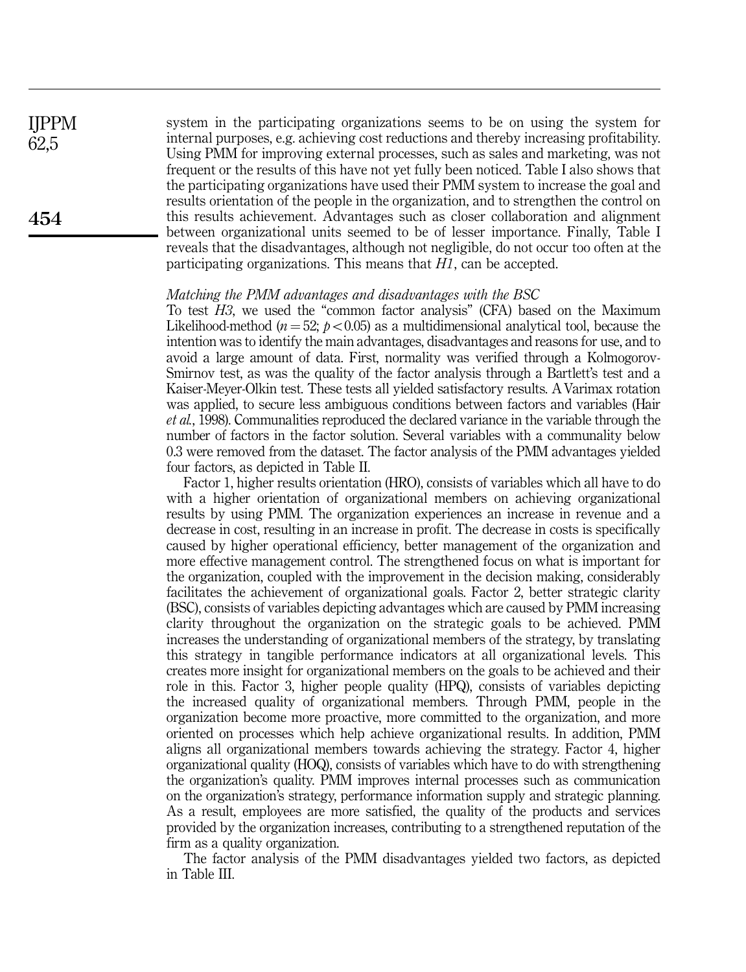system in the participating organizations seems to be on using the system for internal purposes, e.g. achieving cost reductions and thereby increasing profitability. Using PMM for improving external processes, such as sales and marketing, was not frequent or the results of this have not yet fully been noticed. Table I also shows that the participating organizations have used their PMM system to increase the goal and results orientation of the people in the organization, and to strengthen the control on this results achievement. Advantages such as closer collaboration and alignment between organizational units seemed to be of lesser importance. Finally, Table I reveals that the disadvantages, although not negligible, do not occur too often at the participating organizations. This means that H1, can be accepted.

#### Matching the PMM advantages and disadvantages with the BSC

To test H3, we used the "common factor analysis" (CFA) based on the Maximum Likelihood-method ( $n = 52$ ;  $p < 0.05$ ) as a multidimensional analytical tool, because the intention was to identify the main advantages, disadvantages and reasons for use, and to avoid a large amount of data. First, normality was verified through a Kolmogorov-Smirnov test, as was the quality of the factor analysis through a Bartlett's test and a Kaiser-Meyer-Olkin test. These tests all yielded satisfactory results. A Varimax rotation was applied, to secure less ambiguous conditions between factors and variables (Hair et al., 1998). Communalities reproduced the declared variance in the variable through the number of factors in the factor solution. Several variables with a communality below 0.3 were removed from the dataset. The factor analysis of the PMM advantages yielded four factors, as depicted in Table II.

Factor 1, higher results orientation (HRO), consists of variables which all have to do with a higher orientation of organizational members on achieving organizational results by using PMM. The organization experiences an increase in revenue and a decrease in cost, resulting in an increase in profit. The decrease in costs is specifically caused by higher operational efficiency, better management of the organization and more effective management control. The strengthened focus on what is important for the organization, coupled with the improvement in the decision making, considerably facilitates the achievement of organizational goals. Factor 2, better strategic clarity (BSC), consists of variables depicting advantages which are caused by PMM increasing clarity throughout the organization on the strategic goals to be achieved. PMM increases the understanding of organizational members of the strategy, by translating this strategy in tangible performance indicators at all organizational levels. This creates more insight for organizational members on the goals to be achieved and their role in this. Factor 3, higher people quality (HPQ), consists of variables depicting the increased quality of organizational members. Through PMM, people in the organization become more proactive, more committed to the organization, and more oriented on processes which help achieve organizational results. In addition, PMM aligns all organizational members towards achieving the strategy. Factor 4, higher organizational quality (HOQ), consists of variables which have to do with strengthening the organization's quality. PMM improves internal processes such as communication on the organization's strategy, performance information supply and strategic planning. As a result, employees are more satisfied, the quality of the products and services provided by the organization increases, contributing to a strengthened reputation of the firm as a quality organization.

The factor analysis of the PMM disadvantages yielded two factors, as depicted in Table III.

IJPPM 62,5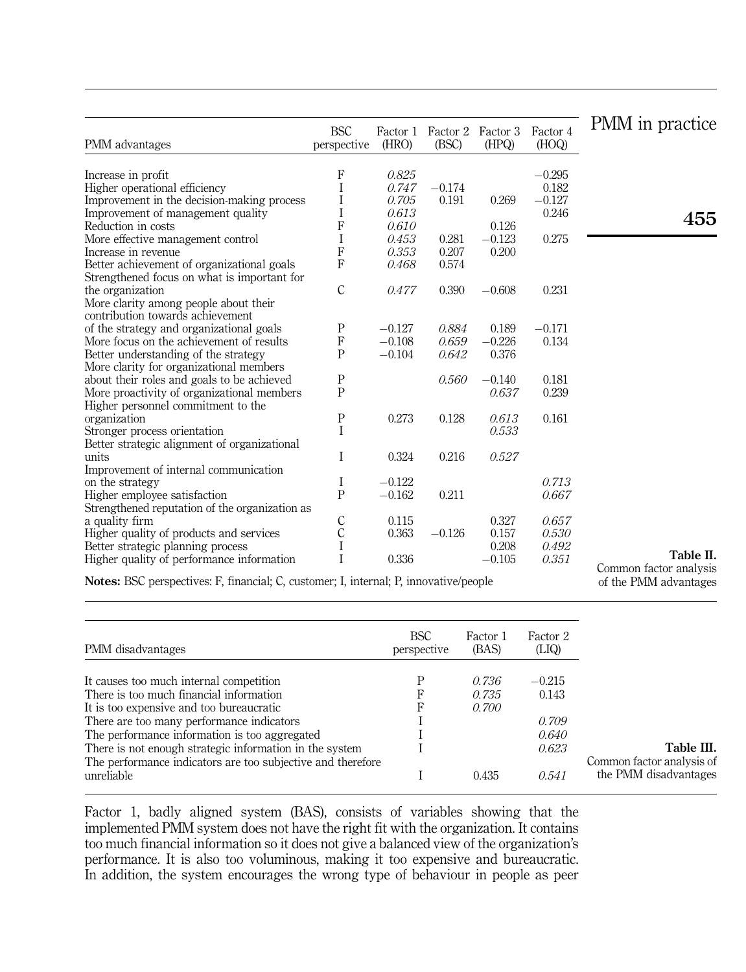| PMM advantages                                                                            | <b>BSC</b><br>perspective | (HRO)    | Factor 1 Factor 2 Factor 3<br>(BSC) | (HPQ)    | Factor 4<br>(HOQ) | PMM in practice                     |
|-------------------------------------------------------------------------------------------|---------------------------|----------|-------------------------------------|----------|-------------------|-------------------------------------|
| Increase in profit                                                                        | $_{\rm F}$                | 0.825    |                                     |          | $-0.295$          |                                     |
| Higher operational efficiency                                                             | I                         | 0.747    | $-0.174$                            |          | 0.182             |                                     |
| Improvement in the decision-making process                                                | I                         | 0.705    | 0.191                               | 0.269    | $-0.127$          |                                     |
| Improvement of management quality                                                         | I                         | 0.613    |                                     |          | 0.246             |                                     |
| Reduction in costs                                                                        | F                         | 0.610    |                                     | 0.126    |                   | 455                                 |
| More effective management control                                                         | I                         | 0.453    | 0.281                               | $-0.123$ | 0.275             |                                     |
| Increase in revenue                                                                       | ${\bf F}$                 | 0.353    | 0.207                               | 0.200    |                   |                                     |
| Better achievement of organizational goals<br>Strengthened focus on what is important for | F                         | 0.468    | 0.574                               |          |                   |                                     |
| the organization                                                                          | $\mathcal{C}$             | 0.477    | 0.390                               | $-0.608$ | 0.231             |                                     |
| More clarity among people about their<br>contribution towards achievement                 |                           |          |                                     |          |                   |                                     |
| of the strategy and organizational goals                                                  | $\mathbf{P}$              | $-0.127$ | 0.884                               | 0.189    | $-0.171$          |                                     |
| More focus on the achievement of results                                                  | $\rm F$                   | $-0.108$ | 0.659                               | $-0.226$ | 0.134             |                                     |
| Better understanding of the strategy                                                      | $\mathbf{P}$              | $-0.104$ | 0.642                               | 0.376    |                   |                                     |
| More clarity for organizational members                                                   |                           |          |                                     |          |                   |                                     |
| about their roles and goals to be achieved                                                | $\mathbf{P}$              |          | 0.560                               | $-0.140$ | 0.181             |                                     |
| More proactivity of organizational members                                                | $\mathbf{P}$              |          |                                     | 0.637    | 0.239             |                                     |
| Higher personnel commitment to the                                                        |                           |          |                                     |          |                   |                                     |
| organization                                                                              | $\mathbf{P}$              | 0.273    | 0.128                               | 0.613    | 0.161             |                                     |
| Stronger process orientation                                                              | I                         |          |                                     | 0.533    |                   |                                     |
| Better strategic alignment of organizational                                              |                           |          |                                     |          |                   |                                     |
| units                                                                                     | I                         | 0.324    | 0.216                               | 0.527    |                   |                                     |
| Improvement of internal communication                                                     |                           |          |                                     |          |                   |                                     |
| on the strategy                                                                           | Ι                         | $-0.122$ |                                     |          | 0.713             |                                     |
| Higher employee satisfaction                                                              | $\mathbf{P}$              | $-0.162$ | 0.211                               |          | 0.667             |                                     |
| Strengthened reputation of the organization as                                            |                           |          |                                     |          |                   |                                     |
| a quality firm                                                                            | C                         | 0.115    |                                     | 0.327    | 0.657             |                                     |
| Higher quality of products and services                                                   | $\mathcal{C}$             | 0.363    | $-0.126$                            | 0.157    | 0.530             |                                     |
| Better strategic planning process                                                         | I                         |          |                                     | 0.208    | 0.492             |                                     |
| Higher quality of performance information                                                 | I                         | 0.336    |                                     | $-0.105$ | 0.351             | Table II.<br>Common factor analysis |

Notes: BSC perspectives: F, financial; C, customer; I, internal; P, innovative/people

Common factor analysis of the PMM advantages

| PMM disadvantages                                           | <b>BSC</b><br>perspective | Factor 1<br>(BAS) | Factor 2<br>(LIQ) |
|-------------------------------------------------------------|---------------------------|-------------------|-------------------|
| It causes too much internal competition                     | D                         | 0.736             | $-0.215$          |
| There is too much financial information                     | F                         | 0.735             | 0.143             |
| It is too expensive and too bureaucratic                    | F                         | 0.700             |                   |
| There are too many performance indicators                   |                           |                   | 0.709             |
| The performance information is too aggregated               |                           |                   | 0.640             |
| There is not enough strategic information in the system     |                           |                   | 0.623             |
| The performance indicators are too subjective and therefore |                           |                   |                   |
| unreliable                                                  |                           | 0.435             | 0.541             |

Factor 1, badly aligned system (BAS), consists of variables showing that the implemented PMM system does not have the right fit with the organization. It contains too much financial information so it does not give a balanced view of the organization's performance. It is also too voluminous, making it too expensive and bureaucratic. In addition, the system encourages the wrong type of behaviour in people as peer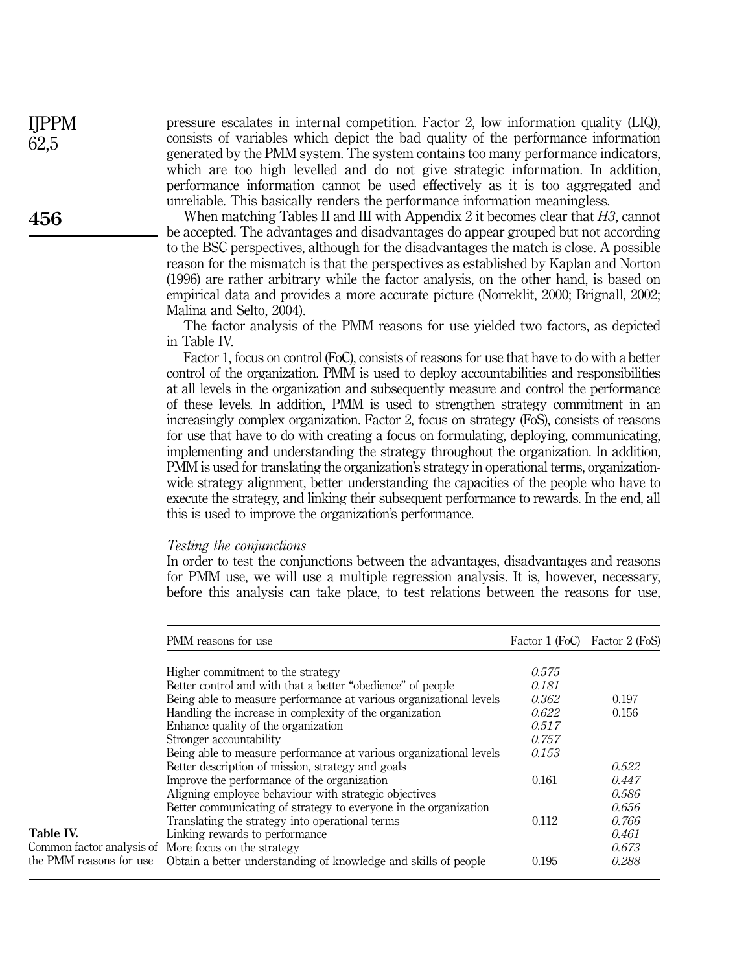pressure escalates in internal competition. Factor 2, low information quality (LIQ), consists of variables which depict the bad quality of the performance information generated by the PMM system. The system contains too many performance indicators, which are too high levelled and do not give strategic information. In addition, performance information cannot be used effectively as it is too aggregated and unreliable. This basically renders the performance information meaningless.

When matching Tables II and III with Appendix 2 it becomes clear that H3, cannot be accepted. The advantages and disadvantages do appear grouped but not according to the BSC perspectives, although for the disadvantages the match is close. A possible reason for the mismatch is that the perspectives as established by Kaplan and Norton (1996) are rather arbitrary while the factor analysis, on the other hand, is based on empirical data and provides a more accurate picture (Norreklit, 2000; Brignall, 2002; Malina and Selto, 2004).

The factor analysis of the PMM reasons for use yielded two factors, as depicted in Table IV.

Factor 1, focus on control (FoC), consists of reasons for use that have to do with a better control of the organization. PMM is used to deploy accountabilities and responsibilities at all levels in the organization and subsequently measure and control the performance of these levels. In addition, PMM is used to strengthen strategy commitment in an increasingly complex organization. Factor 2, focus on strategy (FoS), consists of reasons for use that have to do with creating a focus on formulating, deploying, communicating, implementing and understanding the strategy throughout the organization. In addition, PMM is used for translating the organization's strategy in operational terms, organizationwide strategy alignment, better understanding the capacities of the people who have to execute the strategy, and linking their subsequent performance to rewards. In the end, all this is used to improve the organization's performance.

#### Testing the conjunctions

In order to test the conjunctions between the advantages, disadvantages and reasons for PMM use, we will use a multiple regression analysis. It is, however, necessary, before this analysis can take place, to test relations between the reasons for use,

|         | PMM reasons for use                                                | Factor 1 (FoC) Factor 2 (FoS) |       |
|---------|--------------------------------------------------------------------|-------------------------------|-------|
|         |                                                                    |                               |       |
|         | Higher commitment to the strategy                                  | 0.575                         |       |
|         | Better control and with that a better "obedience" of people        | 0.181                         |       |
|         | Being able to measure performance at various organizational levels | 0.362                         | 0.197 |
|         | Handling the increase in complexity of the organization            | 0.622                         | 0.156 |
|         | Enhance quality of the organization                                | 0.517                         |       |
|         | Stronger accountability                                            | 0.757                         |       |
|         | Being able to measure performance at various organizational levels | 0.153                         |       |
|         | Better description of mission, strategy and goals                  |                               | 0.522 |
|         | Improve the performance of the organization                        | 0.161                         | 0.447 |
|         | Aligning employee behaviour with strategic objectives              |                               | 0.586 |
|         | Better communicating of strategy to everyone in the organization   |                               | 0.656 |
|         | Translating the strategy into operational terms                    | 0.112                         | 0.766 |
|         | Linking rewards to performance                                     |                               | 0.461 |
|         | alysis of More focus on the strategy                               |                               | 0.673 |
| for use | Obtain a better understanding of knowledge and skills of people    | 0.195                         | 0.288 |
|         |                                                                    |                               |       |

Table IV.

Common factor ana the PMM reasons f

IJPPM 62,5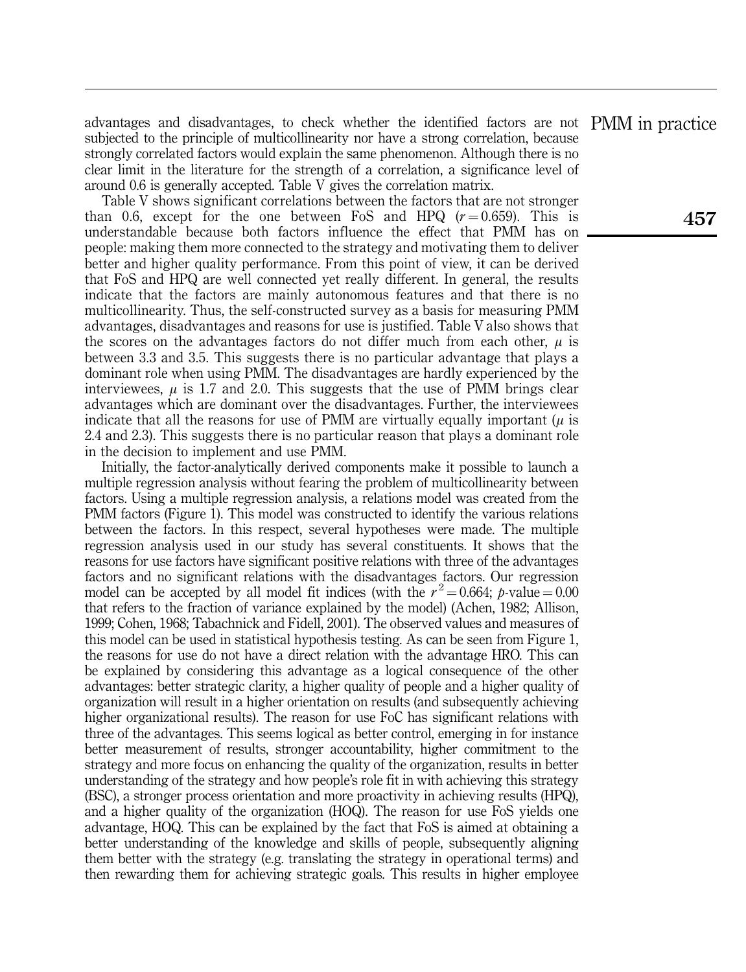advantages and disadvantages, to check whether the identified factors are not PMM in practicesubjected to the principle of multicollinearity nor have a strong correlation, because strongly correlated factors would explain the same phenomenon. Although there is no clear limit in the literature for the strength of a correlation, a significance level of around 0.6 is generally accepted. Table V gives the correlation matrix.

Table V shows significant correlations between the factors that are not stronger than 0.6, except for the one between FoS and HPQ  $(r=0.659)$ . This is understandable because both factors influence the effect that PMM has on people: making them more connected to the strategy and motivating them to deliver better and higher quality performance. From this point of view, it can be derived that FoS and HPQ are well connected yet really different. In general, the results indicate that the factors are mainly autonomous features and that there is no multicollinearity. Thus, the self-constructed survey as a basis for measuring PMM advantages, disadvantages and reasons for use is justified. Table V also shows that the scores on the advantages factors do not differ much from each other,  $\mu$  is between 3.3 and 3.5. This suggests there is no particular advantage that plays a dominant role when using PMM. The disadvantages are hardly experienced by the interviewees,  $\mu$  is 1.7 and 2.0. This suggests that the use of PMM brings clear advantages which are dominant over the disadvantages. Further, the interviewees indicate that all the reasons for use of PMM are virtually equally important  $(\mu)$  is 2.4 and 2.3). This suggests there is no particular reason that plays a dominant role in the decision to implement and use PMM.

Initially, the factor-analytically derived components make it possible to launch a multiple regression analysis without fearing the problem of multicollinearity between factors. Using a multiple regression analysis, a relations model was created from the PMM factors (Figure 1). This model was constructed to identify the various relations between the factors. In this respect, several hypotheses were made. The multiple regression analysis used in our study has several constituents. It shows that the reasons for use factors have significant positive relations with three of the advantages factors and no significant relations with the disadvantages factors. Our regression model can be accepted by all model fit indices (with the  $r^2 = 0.664$ ; p-value = 0.00 that refers to the fraction of variance explained by the model) (Achen, 1982; Allison, 1999; Cohen, 1968; Tabachnick and Fidell, 2001). The observed values and measures of this model can be used in statistical hypothesis testing. As can be seen from Figure 1, the reasons for use do not have a direct relation with the advantage HRO. This can be explained by considering this advantage as a logical consequence of the other advantages: better strategic clarity, a higher quality of people and a higher quality of organization will result in a higher orientation on results (and subsequently achieving higher organizational results). The reason for use FoC has significant relations with three of the advantages. This seems logical as better control, emerging in for instance better measurement of results, stronger accountability, higher commitment to the strategy and more focus on enhancing the quality of the organization, results in better understanding of the strategy and how people's role fit in with achieving this strategy (BSC), a stronger process orientation and more proactivity in achieving results (HPQ), and a higher quality of the organization (HOQ). The reason for use FoS yields one advantage, HOQ. This can be explained by the fact that FoS is aimed at obtaining a better understanding of the knowledge and skills of people, subsequently aligning them better with the strategy (e.g. translating the strategy in operational terms) and then rewarding them for achieving strategic goals. This results in higher employee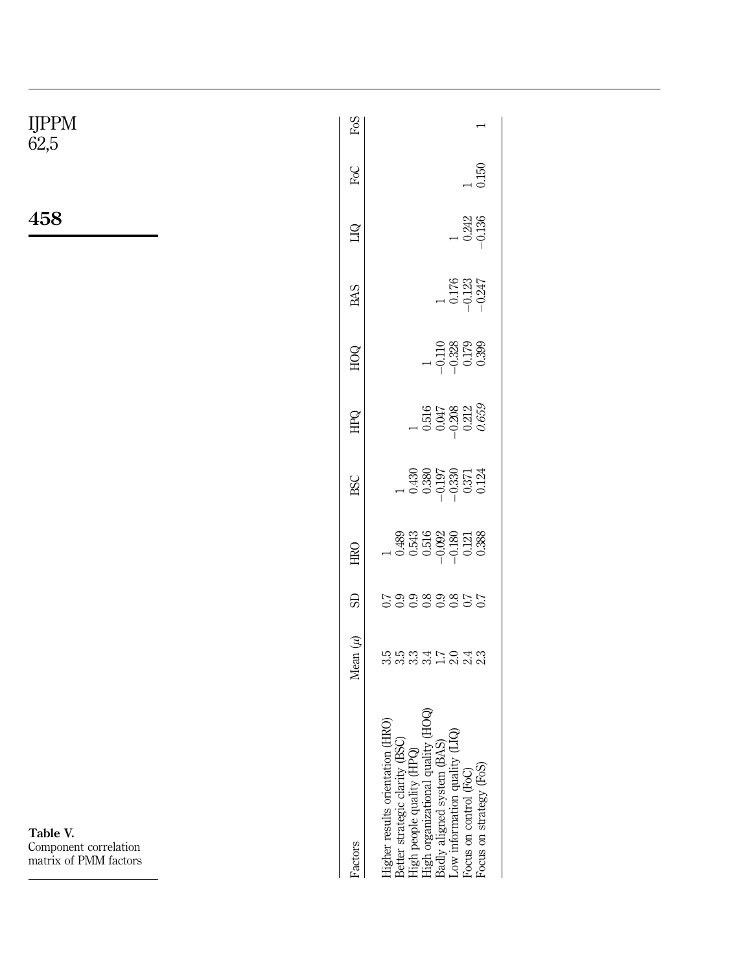| <b>IJPPM</b> |
|--------------|
| 62.5         |

Table V. Component correlation matrix of PMM factors

| <b>Factors</b>                                                                                                                 | $A$ ean $(\mu$    | SD        | HRO | <b>BSC</b>                                                                                                                                                                                                                                                                                                                       | <b>PQ</b>                                                                        | <b>EOG</b> | BAS                                                          | DIQ               | <b>EoC</b>        | FoS |
|--------------------------------------------------------------------------------------------------------------------------------|-------------------|-----------|-----|----------------------------------------------------------------------------------------------------------------------------------------------------------------------------------------------------------------------------------------------------------------------------------------------------------------------------------|----------------------------------------------------------------------------------|------------|--------------------------------------------------------------|-------------------|-------------------|-----|
|                                                                                                                                |                   |           |     |                                                                                                                                                                                                                                                                                                                                  |                                                                                  |            |                                                              |                   |                   |     |
| ligher results orientation (                                                                                                   |                   |           |     |                                                                                                                                                                                                                                                                                                                                  |                                                                                  |            |                                                              |                   |                   |     |
| 3etter strategic clarity (BSC)                                                                                                 |                   |           |     |                                                                                                                                                                                                                                                                                                                                  |                                                                                  |            |                                                              |                   |                   |     |
|                                                                                                                                |                   |           |     |                                                                                                                                                                                                                                                                                                                                  |                                                                                  |            |                                                              |                   |                   |     |
|                                                                                                                                |                   |           |     |                                                                                                                                                                                                                                                                                                                                  |                                                                                  |            |                                                              |                   |                   |     |
|                                                                                                                                |                   |           |     |                                                                                                                                                                                                                                                                                                                                  |                                                                                  |            |                                                              |                   |                   |     |
| g<br>High people quality (HPQ)<br>High organizational quality (F<br>Badly aligned system (BAS)<br>Low information quality (LIQ | 5534704355 5531 5 | 112868661 |     | $\begin{array}{c} 1.30 \\ -0.330 \\ 0.330 \\ -0.330 \\ -0.330 \\ -0.371 \\ -0.371 \\ -0.330 \\ -0.331 \\ -0.331 \\ -0.331 \\ -0.331 \\ -0.331 \\ -0.331 \\ -0.331 \\ -0.331 \\ -0.331 \\ -0.331 \\ -0.331 \\ -0.331 \\ -0.331 \\ -0.331 \\ -0.331 \\ -0.331 \\ -0.331 \\ -0.331 \\ -0.331 \\ -0.331 \\ -0.331 \\ -0.331 \\ -0.3$ | $\begin{array}{c} 1 \\ 0.516 \\ 0.047 \\ 0.208 \\ 0.212 \\ 0.659 \\ \end{array}$ |            | $\begin{array}{c} 1 \\ 0.176 \\ 0.123 \\ -0.247 \end{array}$ |                   |                   |     |
| Focus on control (FoC)                                                                                                         |                   |           |     |                                                                                                                                                                                                                                                                                                                                  |                                                                                  |            |                                                              | $\frac{1}{0.242}$ |                   |     |
| Focus on strategy (FoS)                                                                                                        |                   |           |     |                                                                                                                                                                                                                                                                                                                                  |                                                                                  |            |                                                              |                   | $\frac{150}{150}$ |     |
|                                                                                                                                |                   |           |     |                                                                                                                                                                                                                                                                                                                                  |                                                                                  |            |                                                              |                   |                   |     |
|                                                                                                                                |                   |           |     |                                                                                                                                                                                                                                                                                                                                  |                                                                                  |            |                                                              |                   |                   |     |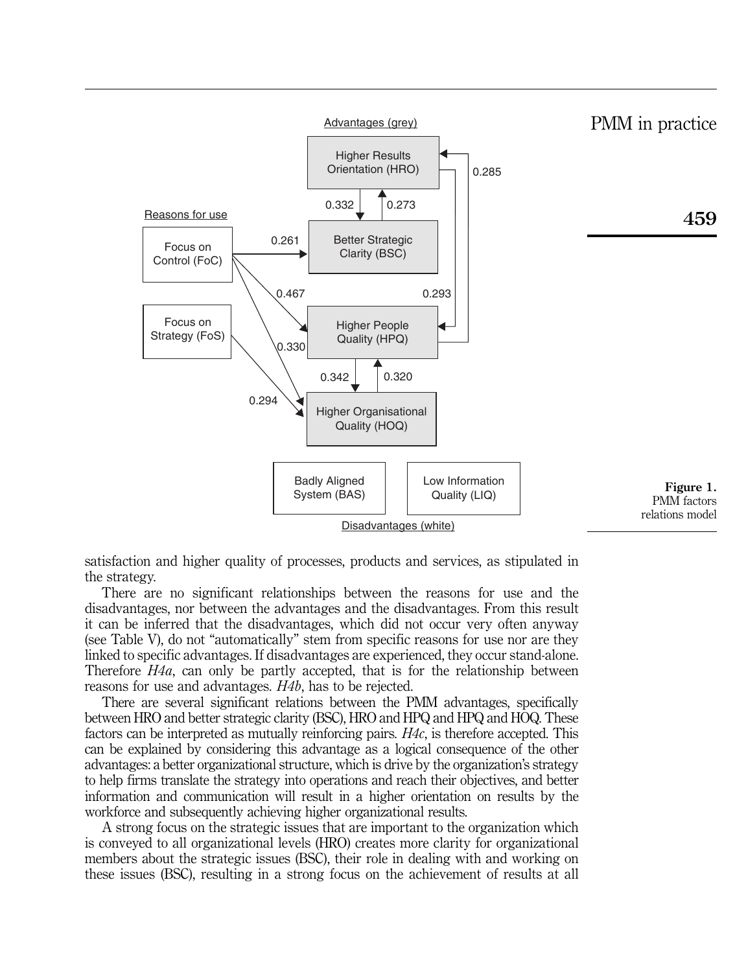

satisfaction and higher quality of processes, products and services, as stipulated in the strategy.

There are no significant relationships between the reasons for use and the disadvantages, nor between the advantages and the disadvantages. From this result it can be inferred that the disadvantages, which did not occur very often anyway (see Table V), do not "automatically" stem from specific reasons for use nor are they linked to specific advantages. If disadvantages are experienced, they occur stand-alone. Therefore  $H4a$ , can only be partly accepted, that is for the relationship between reasons for use and advantages. H4b, has to be rejected.

There are several significant relations between the PMM advantages, specifically between HRO and better strategic clarity (BSC), HRO and HPQ and HPQ and HOQ. These factors can be interpreted as mutually reinforcing pairs. H4c, is therefore accepted. This can be explained by considering this advantage as a logical consequence of the other advantages: a better organizational structure, which is drive by the organization's strategy to help firms translate the strategy into operations and reach their objectives, and better information and communication will result in a higher orientation on results by the workforce and subsequently achieving higher organizational results.

A strong focus on the strategic issues that are important to the organization which is conveyed to all organizational levels (HRO) creates more clarity for organizational members about the strategic issues (BSC), their role in dealing with and working on these issues (BSC), resulting in a strong focus on the achievement of results at all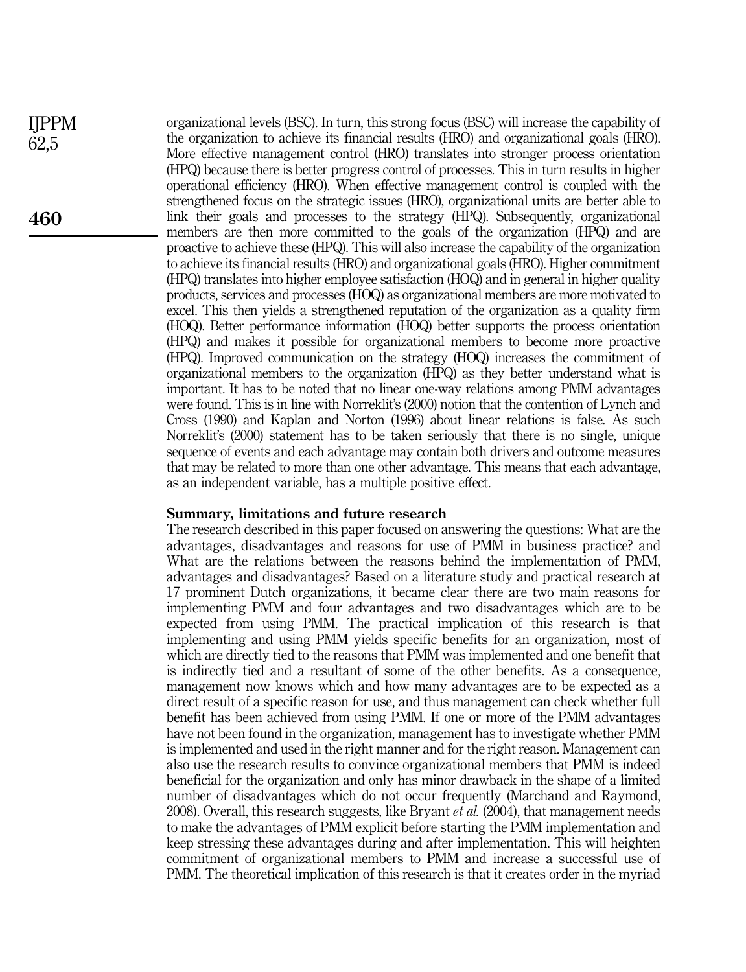IJPPM 62,5

460

organizational levels (BSC). In turn, this strong focus (BSC) will increase the capability of the organization to achieve its financial results (HRO) and organizational goals (HRO). More effective management control (HRO) translates into stronger process orientation (HPQ) because there is better progress control of processes. This in turn results in higher operational efficiency (HRO). When effective management control is coupled with the strengthened focus on the strategic issues (HRO), organizational units are better able to link their goals and processes to the strategy (HPQ). Subsequently, organizational members are then more committed to the goals of the organization (HPQ) and are proactive to achieve these (HPQ). This will also increase the capability of the organization to achieve its financial results (HRO) and organizational goals (HRO). Higher commitment (HPQ) translates into higher employee satisfaction (HOQ) and in general in higher quality products, services and processes (HOQ) as organizational members are more motivated to excel. This then yields a strengthened reputation of the organization as a quality firm (HOQ). Better performance information (HOQ) better supports the process orientation (HPQ) and makes it possible for organizational members to become more proactive (HPQ). Improved communication on the strategy (HOQ) increases the commitment of organizational members to the organization (HPQ) as they better understand what is important. It has to be noted that no linear one-way relations among PMM advantages were found. This is in line with Norreklit's (2000) notion that the contention of Lynch and Cross (1990) and Kaplan and Norton (1996) about linear relations is false. As such Norreklit's (2000) statement has to be taken seriously that there is no single, unique sequence of events and each advantage may contain both drivers and outcome measures that may be related to more than one other advantage. This means that each advantage, as an independent variable, has a multiple positive effect.

#### Summary, limitations and future research

The research described in this paper focused on answering the questions: What are the advantages, disadvantages and reasons for use of PMM in business practice? and What are the relations between the reasons behind the implementation of PMM, advantages and disadvantages? Based on a literature study and practical research at 17 prominent Dutch organizations, it became clear there are two main reasons for implementing PMM and four advantages and two disadvantages which are to be expected from using PMM. The practical implication of this research is that implementing and using PMM yields specific benefits for an organization, most of which are directly tied to the reasons that PMM was implemented and one benefit that is indirectly tied and a resultant of some of the other benefits. As a consequence, management now knows which and how many advantages are to be expected as a direct result of a specific reason for use, and thus management can check whether full benefit has been achieved from using PMM. If one or more of the PMM advantages have not been found in the organization, management has to investigate whether PMM is implemented and used in the right manner and for the right reason. Management can also use the research results to convince organizational members that PMM is indeed beneficial for the organization and only has minor drawback in the shape of a limited number of disadvantages which do not occur frequently (Marchand and Raymond, 2008). Overall, this research suggests, like Bryant et al. (2004), that management needs to make the advantages of PMM explicit before starting the PMM implementation and keep stressing these advantages during and after implementation. This will heighten commitment of organizational members to PMM and increase a successful use of PMM. The theoretical implication of this research is that it creates order in the myriad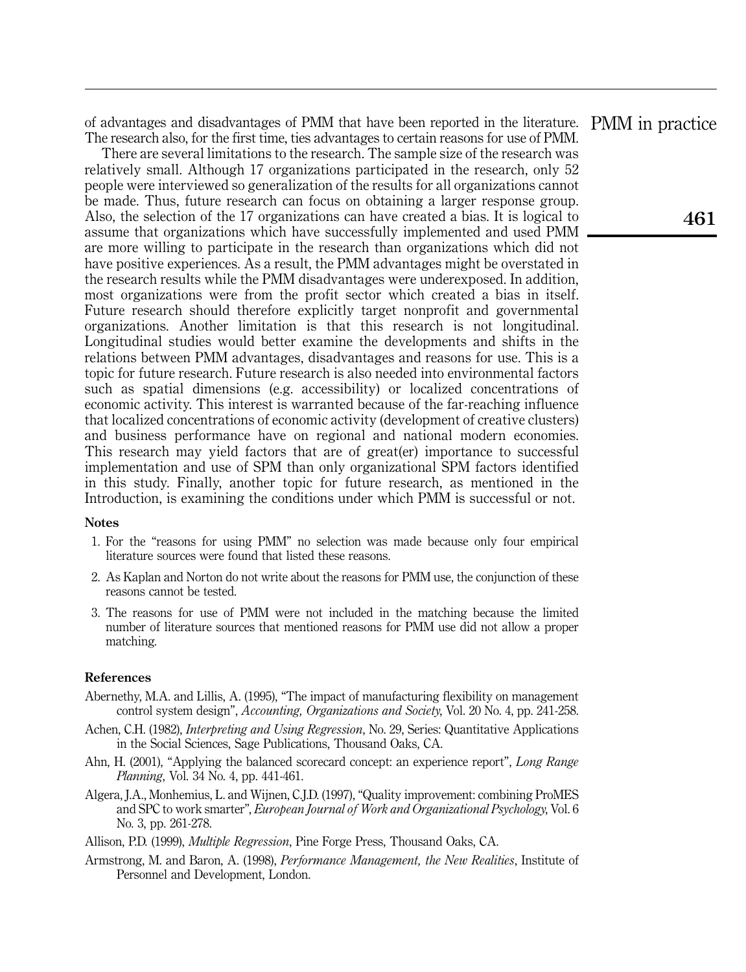of advantages and disadvantages of PMM that have been reported in the literature. PMM in practiceThe research also, for the first time, ties advantages to certain reasons for use of PMM.

There are several limitations to the research. The sample size of the research was relatively small. Although 17 organizations participated in the research, only 52 people were interviewed so generalization of the results for all organizations cannot be made. Thus, future research can focus on obtaining a larger response group. Also, the selection of the 17 organizations can have created a bias. It is logical to assume that organizations which have successfully implemented and used PMM are more willing to participate in the research than organizations which did not have positive experiences. As a result, the PMM advantages might be overstated in the research results while the PMM disadvantages were underexposed. In addition, most organizations were from the profit sector which created a bias in itself. Future research should therefore explicitly target nonprofit and governmental organizations. Another limitation is that this research is not longitudinal. Longitudinal studies would better examine the developments and shifts in the relations between PMM advantages, disadvantages and reasons for use. This is a topic for future research. Future research is also needed into environmental factors such as spatial dimensions (e.g. accessibility) or localized concentrations of economic activity. This interest is warranted because of the far-reaching influence that localized concentrations of economic activity (development of creative clusters) and business performance have on regional and national modern economies. This research may yield factors that are of great(er) importance to successful implementation and use of SPM than only organizational SPM factors identified in this study. Finally, another topic for future research, as mentioned in the Introduction, is examining the conditions under which PMM is successful or not.

#### **Notes**

- 1. For the "reasons for using PMM" no selection was made because only four empirical literature sources were found that listed these reasons.
- 2. As Kaplan and Norton do not write about the reasons for PMM use, the conjunction of these reasons cannot be tested.
- 3. The reasons for use of PMM were not included in the matching because the limited number of literature sources that mentioned reasons for PMM use did not allow a proper matching.

#### References

- Abernethy, M.A. and Lillis, A. (1995), "The impact of manufacturing flexibility on management control system design", Accounting, Organizations and Society, Vol. 20 No. 4, pp. 241-258.
- Achen, C.H. (1982), Interpreting and Using Regression, No. 29, Series: Quantitative Applications in the Social Sciences, Sage Publications, Thousand Oaks, CA.
- Ahn, H. (2001), "Applying the balanced scorecard concept: an experience report", Long Range Planning, Vol. 34 No. 4, pp. 441-461.
- Algera, J.A., Monhemius, L. and Wijnen, C.J.D. (1997), "Quality improvement: combining ProMES and SPC to work smarter", European Journal of Work and Organizational Psychology, Vol. 6 No. 3, pp. 261-278.
- Allison, P.D. (1999), Multiple Regression, Pine Forge Press, Thousand Oaks, CA.
- Armstrong, M. and Baron, A. (1998), Performance Management, the New Realities, Institute of Personnel and Development, London.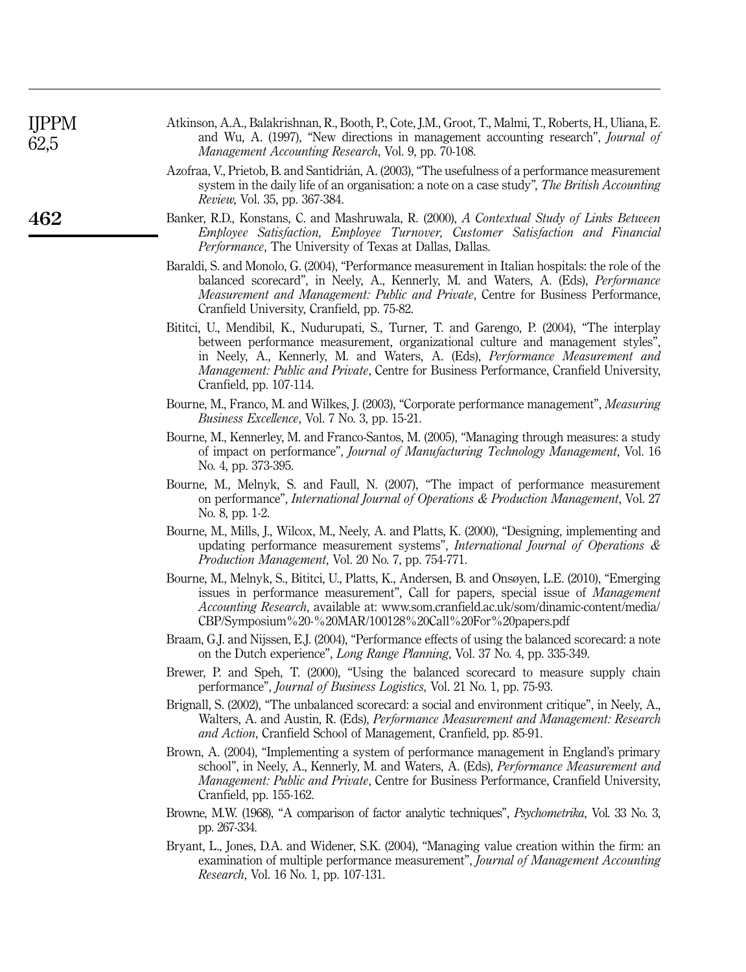| <b>IJPPM</b><br>62,5 | Atkinson, A.A., Balakrishnan, R., Booth, P., Cote, J.M., Groot, T., Malmi, T., Roberts, H., Uliana, E.<br>and Wu, A. (1997), "New directions in management accounting research", Journal of<br><i>Management Accounting Research, Vol. 9, pp. 70-108.</i>                                                                                                                                   |
|----------------------|---------------------------------------------------------------------------------------------------------------------------------------------------------------------------------------------------------------------------------------------------------------------------------------------------------------------------------------------------------------------------------------------|
|                      | Azofraa, V., Prietob, B. and Santidrián, A. (2003), "The usefulness of a performance measurement<br>system in the daily life of an organisation: a note on a case study", The British Accounting<br><i>Review</i> , Vol. 35, pp. 367-384.                                                                                                                                                   |
| 462                  | Banker, R.D., Konstans, C. and Mashruwala, R. (2000), A Contextual Study of Links Between<br>Employee Satisfaction, Employee Turnover, Customer Satisfaction and Financial<br><i>Performance</i> , The University of Texas at Dallas, Dallas.                                                                                                                                               |
|                      | Baraldi, S. and Monolo, G. (2004), "Performance measurement in Italian hospitals: the role of the<br>balanced scorecard", in Neely, A., Kennerly, M. and Waters, A. (Eds), Performance<br><i>Measurement and Management: Public and Private,</i> Centre for Business Performance,<br>Cranfield University, Cranfield, pp. 75-82.                                                            |
|                      | Bititci, U., Mendibil, K., Nudurupati, S., Turner, T. and Garengo, P. (2004), "The interplay<br>between performance measurement, organizational culture and management styles",<br>in Neely, A., Kennerly, M. and Waters, A. (Eds), Performance Measurement and<br><i>Management: Public and Private, Centre for Business Performance, Cranfield University,</i><br>Cranfield, pp. 107-114. |
|                      | Bourne, M., Franco, M. and Wilkes, J. (2003), "Corporate performance management", Measuring<br><i>Business Excellence, Vol. 7 No. 3, pp. 15-21.</i>                                                                                                                                                                                                                                         |
|                      | Bourne, M., Kennerley, M. and Franco-Santos, M. (2005), "Managing through measures: a study<br>of impact on performance", <i>Journal of Manufacturing Technology Management</i> , Vol. 16<br>No. 4, pp. 373-395.                                                                                                                                                                            |
|                      | Bourne, M., Melnyk, S. and Faull, N. (2007), "The impact of performance measurement<br>on performance", International Journal of Operations & Production Management, Vol. 27<br>No. 8, pp. 1-2.                                                                                                                                                                                             |
|                      | Bourne, M., Mills, J., Wilcox, M., Neely, A. and Platts, K. (2000), "Designing, implementing and<br>updating performance measurement systems", International Journal of Operations &<br>Production Management, Vol. 20 No. 7, pp. 754-771.                                                                                                                                                  |
|                      | Bourne, M., Melnyk, S., Bititci, U., Platts, K., Andersen, B. and Onsøyen, L.E. (2010), "Emerging<br>issues in performance measurement", Call for papers, special issue of <i>Management</i><br>Accounting Research, available at: www.som.cranfield.ac.uk/som/dinamic-content/media/<br>CBP/Symposium%20-%20MAR/100128%20Call%20For%20papers.pdf                                           |
|                      | Braam, G.J. and Nijssen, E.J. (2004), "Performance effects of using the balanced scorecard: a note<br>on the Dutch experience", Long Range Planning, Vol. 37 No. 4, pp. 335-349.                                                                                                                                                                                                            |
|                      | Brewer, P. and Speh, T. (2000), "Using the balanced scorecard to measure supply chain<br>performance", <i>Journal of Business Logistics</i> , Vol. 21 No. 1, pp. 75-93.                                                                                                                                                                                                                     |
|                      | Brignall, S. (2002), "The unbalanced scorecard: a social and environment critique", in Neely, A.,<br>Walters, A. and Austin, R. (Eds), Performance Measurement and Management: Research<br><i>and Action</i> , Cranfield School of Management, Cranfield, pp. 85-91.                                                                                                                        |
|                      | Brown, A. (2004), "Implementing a system of performance management in England's primary<br>school", in Neely, A., Kennerly, M. and Waters, A. (Eds), Performance Measurement and<br><i>Management: Public and Private, Centre for Business Performance, Cranfield University,</i><br>Cranfield, pp. 155-162.                                                                                |
|                      | Browne, M.W. (1968), "A comparison of factor analytic techniques", <i>Psychometrika</i> , Vol. 33 No. 3,<br>pp. 267-334.                                                                                                                                                                                                                                                                    |
|                      | Bryant, L., Jones, D.A. and Widener, S.K. (2004), "Managing value creation within the firm: an<br>examination of multiple performance measurement", Journal of Management Accounting<br>Research, Vol. 16 No. 1, pp. 107-131.                                                                                                                                                               |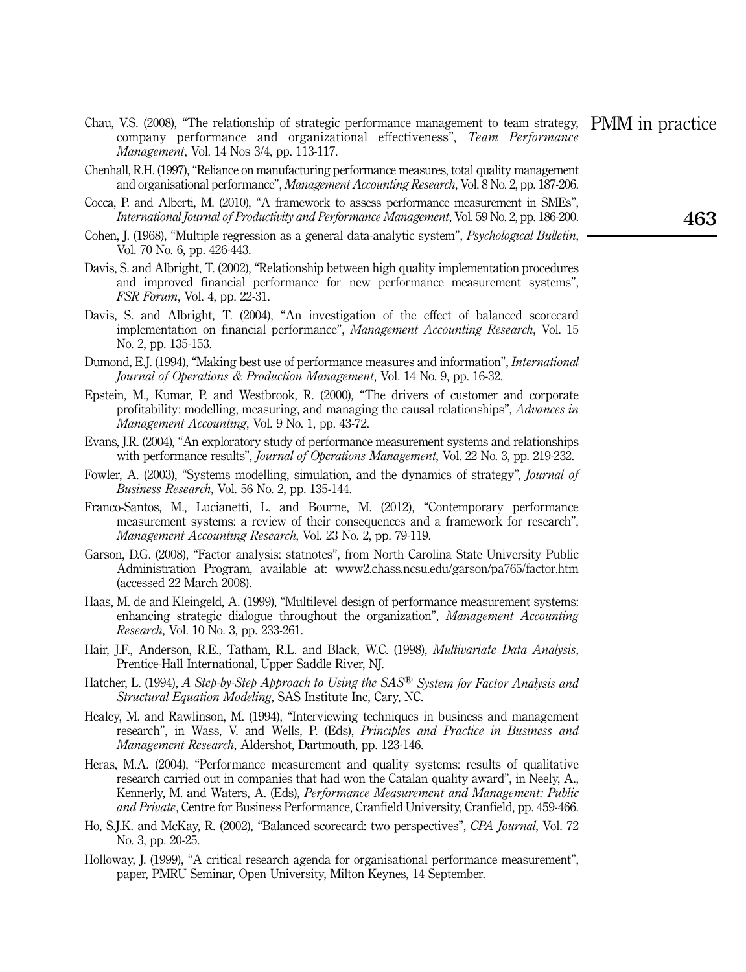- Chau, V.S. (2008), "The relationship of strategic performance management to team strategy, PMM in practicecompany performance and organizational effectiveness", Team Performance Management, Vol. 14 Nos 3/4, pp. 113-117.
- Chenhall, R.H. (1997), "Reliance on manufacturing performance measures, total quality management and organisational performance", Management Accounting Research, Vol. 8 No. 2, pp. 187-206.
- Cocca, P. and Alberti, M. (2010), "A framework to assess performance measurement in SMEs", International Journal of Productivity and Performance Management, Vol. 59 No. 2, pp. 186-200.
- Cohen, J. (1968), "Multiple regression as a general data-analytic system", Psychological Bulletin, Vol. 70 No. 6, pp. 426-443.
- Davis, S. and Albright, T. (2002), "Relationship between high quality implementation procedures and improved financial performance for new performance measurement systems", FSR Forum, Vol. 4, pp. 22-31.
- Davis, S. and Albright, T. (2004), "An investigation of the effect of balanced scorecard implementation on financial performance", Management Accounting Research, Vol. 15 No. 2, pp. 135-153.
- Dumond, E.J. (1994), "Making best use of performance measures and information", International Journal of Operations & Production Management, Vol. 14 No. 9, pp. 16-32.
- Epstein, M., Kumar, P. and Westbrook, R. (2000), "The drivers of customer and corporate profitability: modelling, measuring, and managing the causal relationships", Advances in Management Accounting, Vol. 9 No. 1, pp. 43-72.
- Evans, J.R. (2004), "An exploratory study of performance measurement systems and relationships with performance results", *Journal of Operations Management*, Vol. 22 No. 3, pp. 219-232.
- Fowler, A. (2003), "Systems modelling, simulation, and the dynamics of strategy", *Journal of* Business Research, Vol. 56 No. 2, pp. 135-144.
- Franco-Santos, M., Lucianetti, L. and Bourne, M. (2012), "Contemporary performance measurement systems: a review of their consequences and a framework for research", Management Accounting Research, Vol. 23 No. 2, pp. 79-119.
- Garson, D.G. (2008), "Factor analysis: statnotes", from North Carolina State University Public Administration Program, available at: www2.chass.ncsu.edu/garson/pa765/factor.htm (accessed 22 March 2008).
- Haas, M. de and Kleingeld, A. (1999), "Multilevel design of performance measurement systems: enhancing strategic dialogue throughout the organization", Management Accounting Research, Vol. 10 No. 3, pp. 233-261.
- Hair, J.F., Anderson, R.E., Tatham, R.L. and Black, W.C. (1998), *Multivariate Data Analysis*, Prentice-Hall International, Upper Saddle River, NJ.
- Hatcher, L. (1994), A Step-by-Step Approach to Using the  $SAS^{\mathbb{B}}$  System for Factor Analysis and Structural Equation Modeling, SAS Institute Inc, Cary, NC.
- Healey, M. and Rawlinson, M. (1994), "Interviewing techniques in business and management research", in Wass, V. and Wells, P. (Eds), Principles and Practice in Business and Management Research, Aldershot, Dartmouth, pp. 123-146.
- Heras, M.A. (2004), "Performance measurement and quality systems: results of qualitative research carried out in companies that had won the Catalan quality award", in Neely, A., Kennerly, M. and Waters, A. (Eds), Performance Measurement and Management: Public and Private, Centre for Business Performance, Cranfield University, Cranfield, pp. 459-466.
- Ho, S.J.K. and McKay, R. (2002), "Balanced scorecard: two perspectives", CPA Journal, Vol. 72 No. 3, pp. 20-25.
- Holloway, J. (1999), "A critical research agenda for organisational performance measurement", paper, PMRU Seminar, Open University, Milton Keynes, 14 September.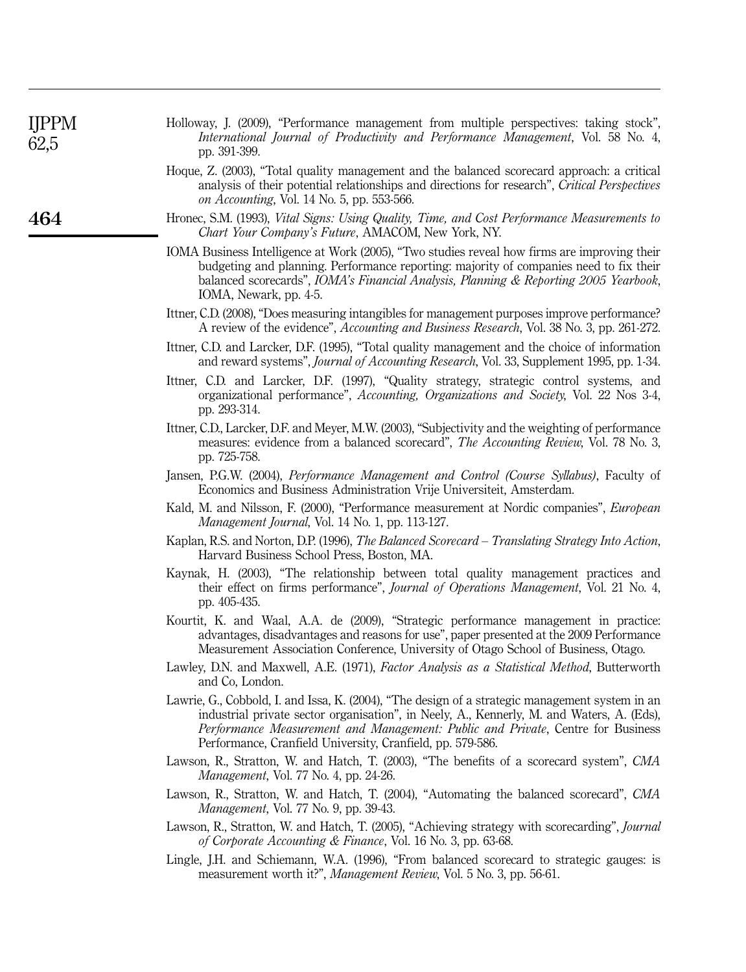| IJPPM<br>62,5 | Holloway, J. (2009), "Performance management from multiple perspectives: taking stock",<br>International Journal of Productivity and Performance Management, Vol. 58 No. 4,<br>pp. 391-399.                                                                                                                                                   |
|---------------|-----------------------------------------------------------------------------------------------------------------------------------------------------------------------------------------------------------------------------------------------------------------------------------------------------------------------------------------------|
|               | Hoque, Z. (2003), "Total quality management and the balanced scorecard approach: a critical<br>analysis of their potential relationships and directions for research", Critical Perspectives<br><i>on Accounting</i> , Vol. 14 No. 5, pp. 553-566.                                                                                            |
| 464           | Hronec, S.M. (1993), Vital Signs: Using Quality, Time, and Cost Performance Measurements to<br><i>Chart Your Company's Future, AMACOM, New York, NY.</i>                                                                                                                                                                                      |
|               | IOMA Business Intelligence at Work (2005), "Two studies reveal how firms are improving their<br>budgeting and planning. Performance reporting: majority of companies need to fix their<br>balanced scorecards", IOMA's Financial Analysis, Planning & Reporting 2005 Yearbook,<br>IOMA, Newark, pp. 4-5.                                      |
|               | Ittner, C.D. (2008), "Does measuring intangibles for management purposes improve performance?<br>A review of the evidence", <i>Accounting and Business Research</i> , Vol. 38 No. 3, pp. 261-272.                                                                                                                                             |
|               | Ittner, C.D. and Larcker, D.F. (1995), "Total quality management and the choice of information<br>and reward systems", Journal of Accounting Research, Vol. 33, Supplement 1995, pp. 1-34.                                                                                                                                                    |
|               | Ittner, C.D. and Larcker, D.F. (1997), "Quality strategy, strategic control systems, and<br>organizational performance", Accounting, Organizations and Society, Vol. 22 Nos 3-4,<br>pp. 293-314.                                                                                                                                              |
|               | Ittner, C.D., Larcker, D.F. and Meyer, M.W. (2003), "Subjectivity and the weighting of performance<br>measures: evidence from a balanced scorecard", <i>The Accounting Review</i> , Vol. 78 No. 3,<br>pp. 725-758.                                                                                                                            |
|               | Jansen, P.G.W. (2004), Performance Management and Control (Course Syllabus), Faculty of<br>Economics and Business Administration Vrije Universiteit, Amsterdam.                                                                                                                                                                               |
|               | Kald, M. and Nilsson, F. (2000), "Performance measurement at Nordic companies", European<br><i>Management Journal</i> , Vol. 14 No. 1, pp. 113-127.                                                                                                                                                                                           |
|               | Kaplan, R.S. and Norton, D.P. (1996), The Balanced Scorecard – Translating Strategy Into Action,<br>Harvard Business School Press, Boston, MA.                                                                                                                                                                                                |
|               | Kaynak, H. (2003), "The relationship between total quality management practices and<br>their effect on firms performance", Journal of Operations Management, Vol. 21 No. 4,<br>pp. 405-435.                                                                                                                                                   |
|               | Kourtit, K. and Waal, A.A. de (2009), "Strategic performance management in practice:<br>advantages, disadvantages and reasons for use", paper presented at the 2009 Performance<br>Measurement Association Conference, University of Otago School of Business, Otago.                                                                         |
|               | Lawley, D.N. and Maxwell, A.E. (1971), Factor Analysis as a Statistical Method, Butterworth<br>and Co, London.                                                                                                                                                                                                                                |
|               | Lawrie, G., Cobbold, I. and Issa, K. (2004), "The design of a strategic management system in an<br>industrial private sector organisation", in Neely, A., Kennerly, M. and Waters, A. (Eds),<br>Performance Measurement and Management: Public and Private, Centre for Business<br>Performance, Cranfield University, Cranfield, pp. 579-586. |
|               | Lawson, R., Stratton, W. and Hatch, T. (2003), "The benefits of a scorecard system", CMA<br><i>Management, Vol. 77 No. 4, pp. 24-26.</i>                                                                                                                                                                                                      |
|               | Lawson, R., Stratton, W. and Hatch, T. (2004), "Automating the balanced scorecard", CMA<br>Management, Vol. 77 No. 9, pp. 39-43.                                                                                                                                                                                                              |
|               | Lawson, R., Stratton, W. and Hatch, T. (2005), "Achieving strategy with scorecarding", Journal<br><i>of Corporate Accounting &amp; Finance</i> , Vol. 16 No. 3, pp. 63-68.                                                                                                                                                                    |
|               | Lingle, J.H. and Schiemann, W.A. (1996), "From balanced scorecard to strategic gauges: is<br>measurement worth it?", Management Review, Vol. 5 No. 3, pp. 56-61.                                                                                                                                                                              |
|               |                                                                                                                                                                                                                                                                                                                                               |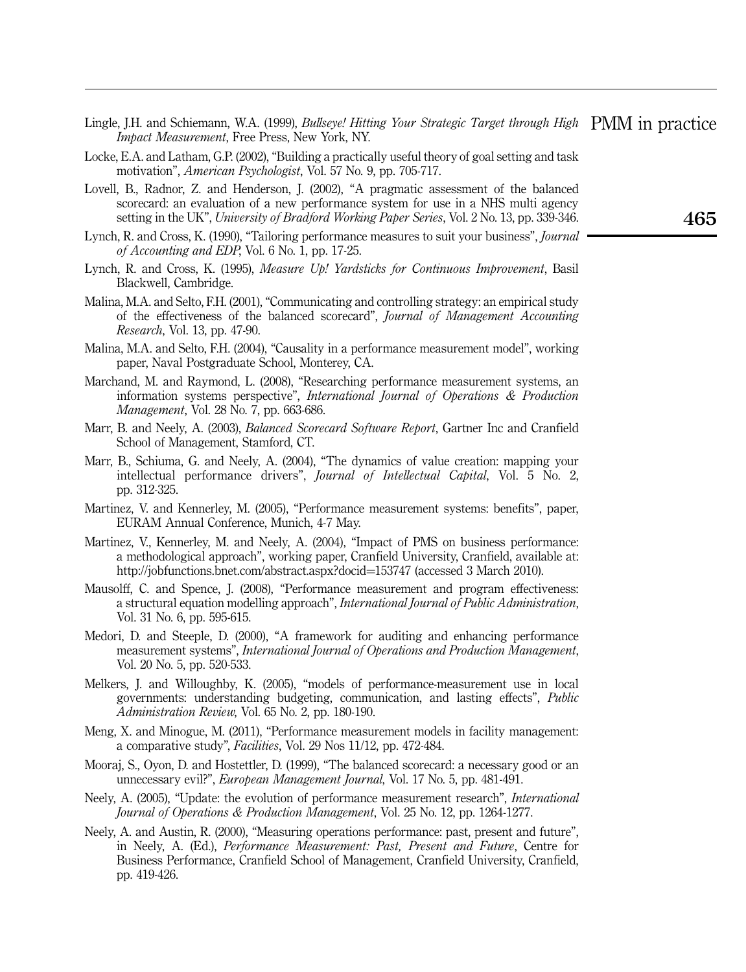- Lingle, J.H. and Schiemann, W.A. (1999), *Bullseye! Hitting Your Strategic Target through High* PMM in practice Impact Measurement, Free Press, New York, NY.
- Locke, E.A. and Latham, G.P. (2002), "Building a practically useful theory of goal setting and task motivation", American Psychologist, Vol. 57 No. 9, pp. 705-717.
- Lovell, B., Radnor, Z. and Henderson, J. (2002), "A pragmatic assessment of the balanced scorecard: an evaluation of a new performance system for use in a NHS multi agency setting in the UK", University of Bradford Working Paper Series, Vol. 2 No. 13, pp. 339-346.
- Lynch, R. and Cross, K. (1990), "Tailoring performance measures to suit your business", Journal of Accounting and EDP, Vol. 6 No. 1, pp. 17-25.
- Lynch, R. and Cross, K. (1995), Measure Up! Yardsticks for Continuous Improvement, Basil Blackwell, Cambridge.
- Malina, M.A. and Selto, F.H. (2001), "Communicating and controlling strategy: an empirical study of the effectiveness of the balanced scorecard", Journal of Management Accounting Research, Vol. 13, pp. 47-90.
- Malina, M.A. and Selto, F.H. (2004), "Causality in a performance measurement model", working paper, Naval Postgraduate School, Monterey, CA.
- Marchand, M. and Raymond, L. (2008), "Researching performance measurement systems, an information systems perspective", International Journal of Operations & Production Management, Vol. 28 No. 7, pp. 663-686.
- Marr, B. and Neely, A. (2003), Balanced Scorecard Software Report, Gartner Inc and Cranfield School of Management, Stamford, CT.
- Marr, B., Schiuma, G. and Neely, A. (2004), "The dynamics of value creation: mapping your intellectual performance drivers", Journal of Intellectual Capital, Vol. 5 No. 2, pp. 312-325.
- Martinez, V. and Kennerley, M. (2005), "Performance measurement systems: benefits", paper, EURAM Annual Conference, Munich, 4-7 May.
- Martinez, V., Kennerley, M. and Neely, A. (2004), "Impact of PMS on business performance: a methodological approach", working paper, Cranfield University, Cranfield, available at: http://jobfunctions.bnet.com/abstract.aspx?docid=153747 (accessed 3 March 2010).
- Mausolff, C. and Spence, J. (2008), "Performance measurement and program effectiveness: a structural equation modelling approach", International Journal of Public Administration, Vol. 31 No. 6, pp. 595-615.
- Medori, D. and Steeple, D. (2000), "A framework for auditing and enhancing performance measurement systems", International Journal of Operations and Production Management, Vol. 20 No. 5, pp. 520-533.
- Melkers, J. and Willoughby, K. (2005), "models of performance-measurement use in local governments: understanding budgeting, communication, and lasting effects", Public Administration Review, Vol. 65 No. 2, pp. 180-190.
- Meng, X. and Minogue, M. (2011), "Performance measurement models in facility management: a comparative study", Facilities, Vol. 29 Nos 11/12, pp. 472-484.
- Mooraj, S., Oyon, D. and Hostettler, D. (1999), "The balanced scorecard: a necessary good or an unnecessary evil?", European Management Journal, Vol. 17 No. 5, pp. 481-491.
- Neely, A. (2005), "Update: the evolution of performance measurement research", International Journal of Operations & Production Management, Vol. 25 No. 12, pp. 1264-1277.
- Neely, A. and Austin, R. (2000), "Measuring operations performance: past, present and future", in Neely, A. (Ed.), Performance Measurement: Past, Present and Future, Centre for Business Performance, Cranfield School of Management, Cranfield University, Cranfield, pp. 419-426.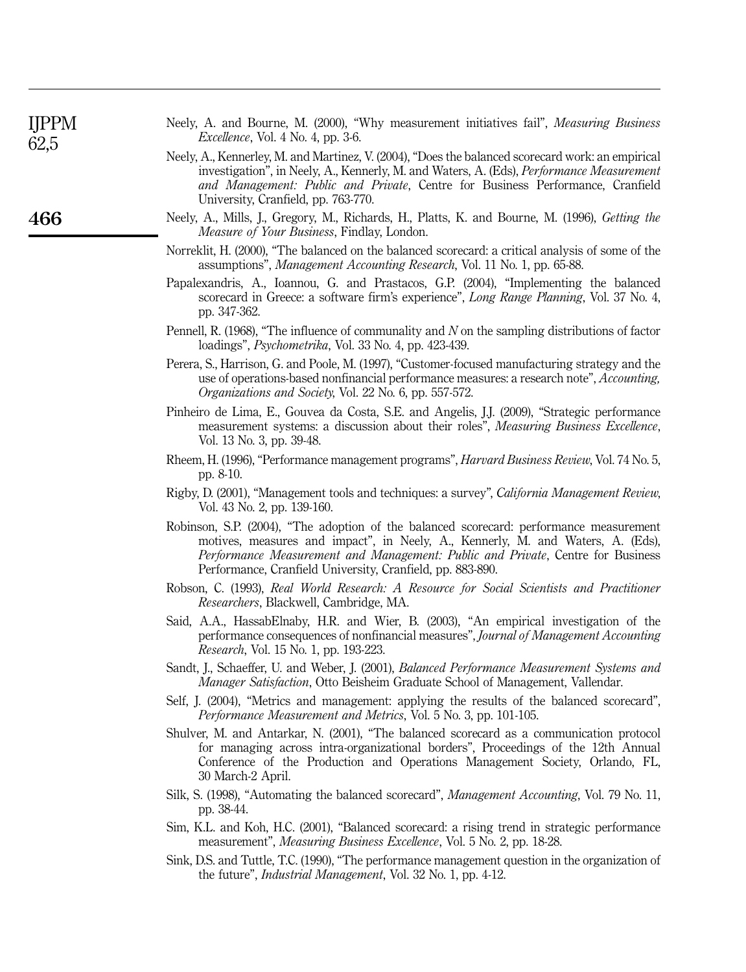| <b>IJPPM</b><br>62,5 | Neely, A. and Bourne, M. (2000), "Why measurement initiatives fail", Measuring Business<br><i>Excellence</i> , Vol. 4 No. 4, pp. 3-6.                                                                                                                                                                                              |
|----------------------|------------------------------------------------------------------------------------------------------------------------------------------------------------------------------------------------------------------------------------------------------------------------------------------------------------------------------------|
|                      | Neely, A., Kennerley, M. and Martinez, V. (2004), "Does the balanced scorecard work: an empirical<br>investigation", in Neely, A., Kennerly, M. and Waters, A. (Eds), Performance Measurement<br>and Management: Public and Private, Centre for Business Performance, Cranfield<br>University, Cranfield, pp. 763-770.             |
| 466                  | Neely, A., Mills, J., Gregory, M., Richards, H., Platts, K. and Bourne, M. (1996), <i>Getting the</i><br><i>Measure of Your Business, Findlay, London.</i>                                                                                                                                                                         |
|                      | Norreklit, H. (2000), "The balanced on the balanced scorecard: a critical analysis of some of the<br>assumptions", <i>Management Accounting Research</i> , Vol. 11 No. 1, pp. 65-88.                                                                                                                                               |
|                      | Papalexandris, A., Ioannou, G. and Prastacos, G.P. (2004), "Implementing the balanced<br>scorecard in Greece: a software firm's experience", Long Range Planning, Vol. 37 No. 4,<br>pp. 347-362.                                                                                                                                   |
|                      | Pennell, R. (1968), "The influence of communality and N on the sampling distributions of factor<br>loadings", <i>Psychometrika</i> , Vol. 33 No. 4, pp. 423-439.                                                                                                                                                                   |
|                      | Perera, S., Harrison, G. and Poole, M. (1997), "Customer-focused manufacturing strategy and the<br>use of operations-based nonfinancial performance measures: a research note", <i>Accounting</i> ,<br>Organizations and Society, Vol. 22 No. 6, pp. 557-572.                                                                      |
|                      | Pinheiro de Lima, E., Gouvea da Costa, S.E. and Angelis, J.J. (2009), "Strategic performance<br>measurement systems: a discussion about their roles", Measuring Business Excellence,<br>Vol. 13 No. 3, pp. 39-48.                                                                                                                  |
|                      | Rheem, H. (1996), "Performance management programs", <i>Harvard Business Review</i> , Vol. 74 No. 5,<br>pp. 8-10.                                                                                                                                                                                                                  |
|                      | Rigby, D. (2001), "Management tools and techniques: a survey", California Management Review,<br>Vol. 43 No. 2, pp. 139-160.                                                                                                                                                                                                        |
|                      | Robinson, S.P. (2004), "The adoption of the balanced scorecard: performance measurement<br>motives, measures and impact", in Neely, A., Kennerly, M. and Waters, A. (Eds),<br><i>Performance Measurement and Management: Public and Private, Centre for Business</i><br>Performance, Cranfield University, Cranfield, pp. 883-890. |
|                      | Robson, C. (1993), Real World Research: A Resource for Social Scientists and Practitioner<br><i>Researchers</i> , Blackwell, Cambridge, MA.                                                                                                                                                                                        |
|                      | Said, A.A., HassabElnaby, H.R. and Wier, B. (2003), "An empirical investigation of the<br>performance consequences of nonfinancial measures", Journal of Management Accounting<br><i>Research</i> , Vol. 15 No. 1, pp. 193-223.                                                                                                    |
|                      | Sandt, J., Schaeffer, U. and Weber, J. (2001), Balanced Performance Measurement Systems and<br>Manager Satisfaction, Otto Beisheim Graduate School of Management, Vallendar.                                                                                                                                                       |
|                      | Self, J. (2004), "Metrics and management: applying the results of the balanced scorecard",<br><i>Performance Measurement and Metrics, Vol.</i> 5 No. 3, pp. 101-105.                                                                                                                                                               |
|                      | Shulver, M. and Antarkar, N. (2001), "The balanced scorecard as a communication protocol<br>for managing across intra-organizational borders", Proceedings of the 12th Annual<br>Conference of the Production and Operations Management Society, Orlando, FL,<br>30 March-2 April.                                                 |
|                      | Silk, S. (1998), "Automating the balanced scorecard", <i>Management Accounting</i> , Vol. 79 No. 11,<br>pp. 38-44.                                                                                                                                                                                                                 |
|                      | Sim, K.L. and Koh, H.C. (2001), "Balanced scorecard: a rising trend in strategic performance<br>measurement", Measuring Business Excellence, Vol. 5 No. 2, pp. 18-28.                                                                                                                                                              |
|                      | Sink, D.S. and Tuttle, T.C. (1990), "The performance management question in the organization of<br>the future", <i>Industrial Management</i> , Vol. 32 No. 1, pp. 4-12.                                                                                                                                                            |
|                      |                                                                                                                                                                                                                                                                                                                                    |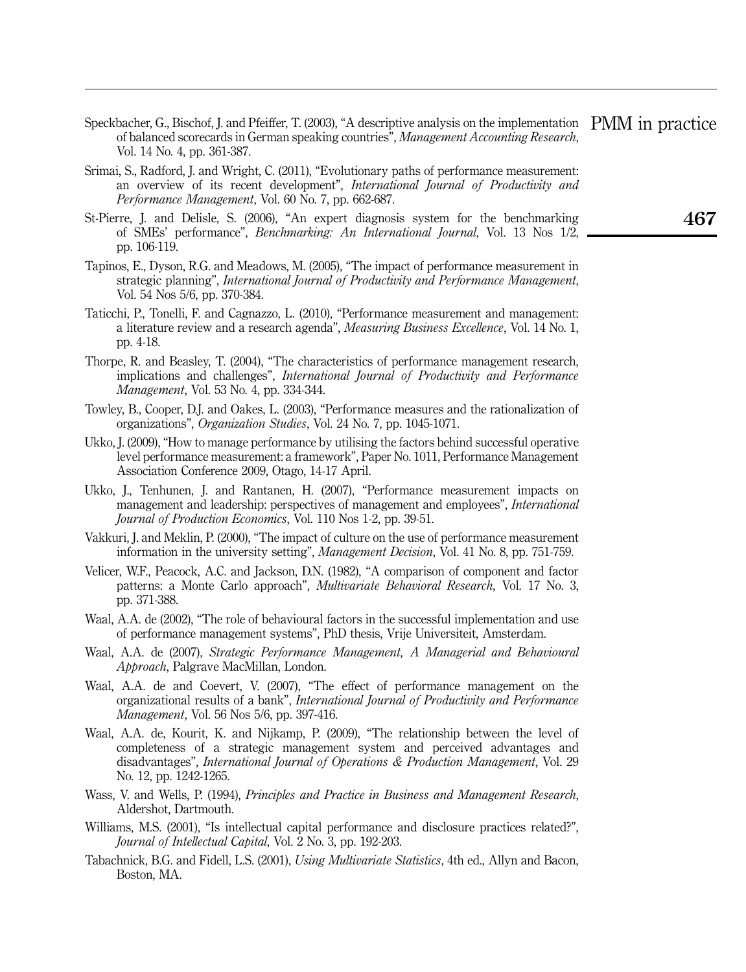- Speckbacher, G., Bischof, J. and Pfeiffer, T. (2003), "A descriptive analysis on the implementation PMM in practice of balanced scorecards in German speaking countries", Management Accounting Research, Vol. 14 No. 4, pp. 361-387.
- Srimai, S., Radford, J. and Wright, C. (2011), "Evolutionary paths of performance measurement: an overview of its recent development", International Journal of Productivity and Performance Management, Vol. 60 No. 7, pp. 662-687.
- St-Pierre, J. and Delisle, S. (2006), "An expert diagnosis system for the benchmarking of SMEs' performance", Benchmarking: An International Journal, Vol. 13 Nos 1/2, pp. 106-119.
- Tapinos, E., Dyson, R.G. and Meadows, M. (2005), "The impact of performance measurement in strategic planning", International Journal of Productivity and Performance Management, Vol. 54 Nos 5/6, pp. 370-384.
- Taticchi, P., Tonelli, F. and Cagnazzo, L. (2010), "Performance measurement and management: a literature review and a research agenda", Measuring Business Excellence, Vol. 14 No. 1, pp. 4-18.
- Thorpe, R. and Beasley, T. (2004), "The characteristics of performance management research, implications and challenges", International Journal of Productivity and Performance Management, Vol. 53 No. 4, pp. 334-344.
- Towley, B., Cooper, D.J. and Oakes, L. (2003), "Performance measures and the rationalization of organizations", Organization Studies, Vol. 24 No. 7, pp. 1045-1071.
- Ukko, J. (2009), "How to manage performance by utilising the factors behind successful operative level performance measurement: a framework", Paper No. 1011, Performance Management Association Conference 2009, Otago, 14-17 April.
- Ukko, J., Tenhunen, J. and Rantanen, H. (2007), "Performance measurement impacts on management and leadership: perspectives of management and employees", International Journal of Production Economics, Vol. 110 Nos 1-2, pp. 39-51.
- Vakkuri, J. and Meklin, P. (2000), "The impact of culture on the use of performance measurement information in the university setting", Management Decision, Vol. 41 No. 8, pp. 751-759.
- Velicer, W.F., Peacock, A.C. and Jackson, D.N. (1982), "A comparison of component and factor patterns: a Monte Carlo approach", Multivariate Behavioral Research, Vol. 17 No. 3, pp. 371-388.
- Waal, A.A. de (2002), "The role of behavioural factors in the successful implementation and use of performance management systems", PhD thesis, Vrije Universiteit, Amsterdam.
- Waal, A.A. de (2007), Strategic Performance Management, A Managerial and Behavioural Approach, Palgrave MacMillan, London.
- Waal, A.A. de and Coevert, V. (2007), "The effect of performance management on the organizational results of a bank", International Journal of Productivity and Performance Management, Vol. 56 Nos 5/6, pp. 397-416.
- Waal, A.A. de, Kourit, K. and Nijkamp, P. (2009), "The relationship between the level of completeness of a strategic management system and perceived advantages and disadvantages", International Journal of Operations & Production Management, Vol. 29 No. 12, pp. 1242-1265.
- Wass, V. and Wells, P. (1994), Principles and Practice in Business and Management Research, Aldershot, Dartmouth.
- Williams, M.S. (2001), "Is intellectual capital performance and disclosure practices related?", Journal of Intellectual Capital, Vol. 2 No. 3, pp. 192-203.
- Tabachnick, B.G. and Fidell, L.S. (2001), Using Multivariate Statistics, 4th ed., Allyn and Bacon, Boston, MA.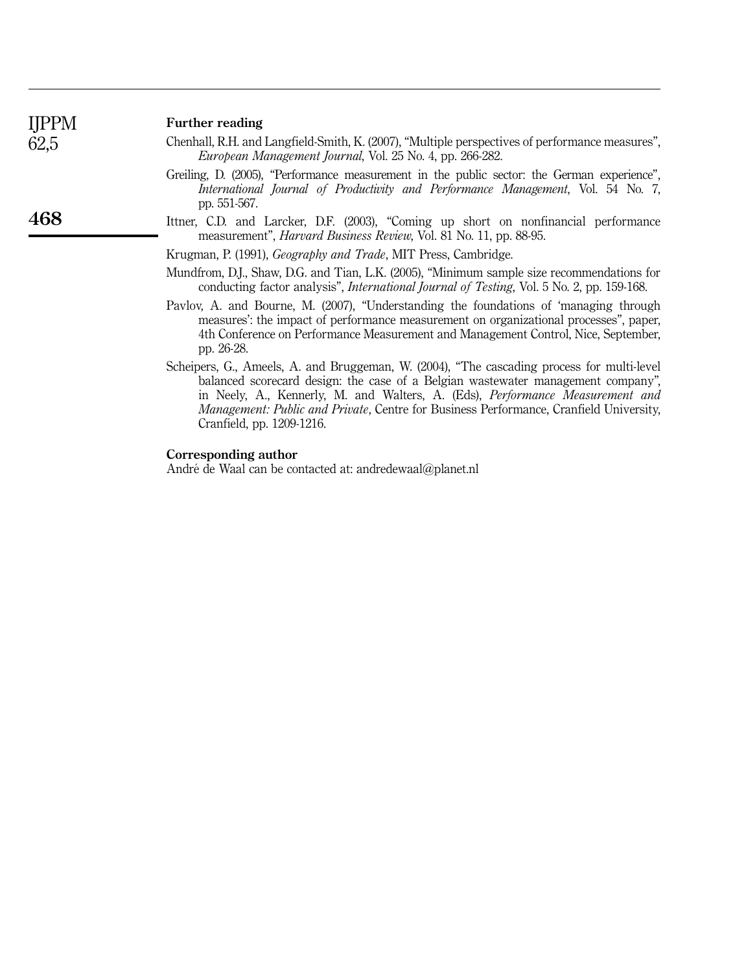| <b>IJPPM</b> | <b>Further reading</b>                                                                                                                                                                                                                                                                                                                                                                               |
|--------------|------------------------------------------------------------------------------------------------------------------------------------------------------------------------------------------------------------------------------------------------------------------------------------------------------------------------------------------------------------------------------------------------------|
| 62,5         | Chenhall, R.H. and Langfield-Smith, K. (2007), "Multiple perspectives of performance measures",<br><i>European Management Journal, Vol. 25 No. 4, pp. 266-282.</i>                                                                                                                                                                                                                                   |
|              | Greiling, D. (2005), "Performance measurement in the public sector: the German experience",<br>International Journal of Productivity and Performance Management, Vol. 54 No. 7,<br>pp. 551-567.                                                                                                                                                                                                      |
| 468          | Ittner, C.D. and Larcker, D.F. (2003), "Coming up short on nonfinancial performance<br>measurement", <i>Harvard Business Review</i> , Vol. 81 No. 11, pp. 88-95.                                                                                                                                                                                                                                     |
|              | Krugman, P. (1991), <i>Geography and Trade</i> , MIT Press, Cambridge.                                                                                                                                                                                                                                                                                                                               |
|              | Mundfrom, D.J., Shaw, D.G. and Tian, L.K. (2005), "Minimum sample size recommendations for<br>conducting factor analysis", International Journal of Testing, Vol. 5 No. 2, pp. 159-168.                                                                                                                                                                                                              |
|              | Pavlov, A. and Bourne, M. (2007), "Understanding the foundations of 'managing through<br>measures': the impact of performance measurement on organizational processes", paper,<br>4th Conference on Performance Measurement and Management Control, Nice, September,<br>pp. 26-28.                                                                                                                   |
|              | Scheipers, G., Ameels, A. and Bruggeman, W. (2004), "The cascading process for multi-level<br>balanced scorecard design: the case of a Belgian wastewater management company",<br>in Neely, A., Kennerly, M. and Walters, A. (Eds), <i>Performance Measurement and</i><br><i>Management: Public and Private, Centre for Business Performance, Cranfield University,</i><br>Cranfield, pp. 1209-1216. |

#### Corresponding author

André de Waal can be contacted at: andredewaal@planet.nl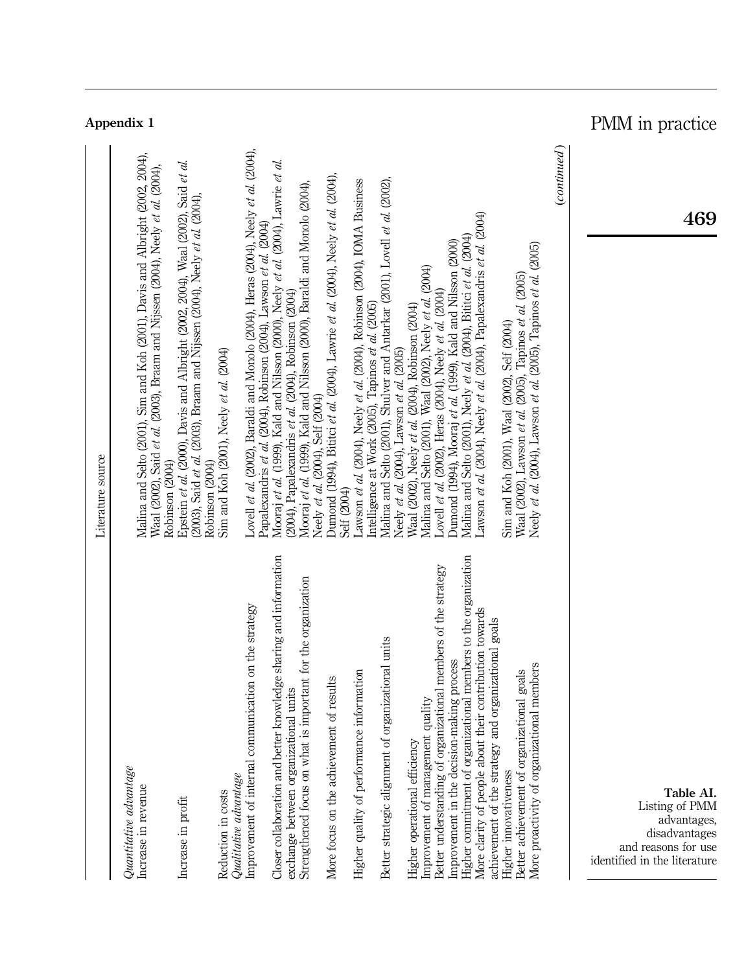|                                                                                                                                                                                                                                                                                                                                                                          | Literature source                                                                                                                                                                                                                                                                                                                                                                                                                       |
|--------------------------------------------------------------------------------------------------------------------------------------------------------------------------------------------------------------------------------------------------------------------------------------------------------------------------------------------------------------------------|-----------------------------------------------------------------------------------------------------------------------------------------------------------------------------------------------------------------------------------------------------------------------------------------------------------------------------------------------------------------------------------------------------------------------------------------|
| Quantitative advantage<br>Increase in revenue                                                                                                                                                                                                                                                                                                                            | Appendix 1<br>Malina and Selto (2001), Sim and Koh (2001), Davis and Albright (2002, 2004),<br>Waal (2002), Said et al. (2003), Braam and Nijssen (2004), Neely et al. (2004),                                                                                                                                                                                                                                                          |
| Increase in profit                                                                                                                                                                                                                                                                                                                                                       | Epstein et al. (2000), Davis and Albright (2002, 2004), Waal (2002), Said et al.<br>(2003), Said et al. (2003), Braam and Nijssen (2004), Neely et al. (2004),<br>Robinson (2004)<br>Robinson (2004)                                                                                                                                                                                                                                    |
| communication on the strategy<br>Qualitative advantage<br>Reduction in costs                                                                                                                                                                                                                                                                                             | Lovell et al. (2002), Baraldi and Monolo (2004), Heras (2004), Neely et al. (2004),<br>Sim and Koh (2001), Neely et al. (2004)                                                                                                                                                                                                                                                                                                          |
| Closer collaboration and better knowledge sharing and information<br>Strengthened focus on what is important for the organization<br>exchange between organizational units<br>Improvement of internal                                                                                                                                                                    | Mooraj et al. (1999), Kald and Nilsson (2000), Neely et al. (2004), Lawrie et al.<br>Mooraj et al. (1999), Kald and Nilsson (2000), Baraldi and Monolo (2004),<br>Papalexandris et al. (2004), Robinson (2004), Lawson et al. (2004)<br>(2004), Papalexandris et al. (2004), Robinson (2004)                                                                                                                                            |
| More focus on the achievement of results                                                                                                                                                                                                                                                                                                                                 | Dumond (1994), Bititci et al. (2004), Lawrie et al. (2004), Neely et al. (2004),<br>Neely et al. (2004), Self (2004)<br>Self (2004)                                                                                                                                                                                                                                                                                                     |
| of organizational units<br>Higher quality of performance information<br>Better strategic alignment                                                                                                                                                                                                                                                                       | Lawson et al. (2004), Neely et al. (2004), Robinson (2004), IOMA Business<br>Malina and Selto (2001), Shulver and Antarkar (2001), Lovell et al. (2002),<br>intelligence at Work (2005), Tapinos et al. (2005)                                                                                                                                                                                                                          |
| Higher commitment of organizational members to the organization<br>Better understanding of organizational members of the strategy<br>More clarity of people about their contribution towards<br>achievement of the strategy and organizational goals<br>Improvement in the decision-making process<br>Improvement of management quality<br>Higher operational efficiency | Lawson et al. (2004), Neely et al. (2004), Papalexandris et al. (2004)<br>Dumond (1994), Mooraj et al. (1999), Kald and Nilsson (2000)<br>Malina and Selto (2001), Neely et al. (2004), Bititci et al. (2004)<br>Malina and Selto (2001), Waal (2002), Neely et al. (2004)<br>Lovell et al. (2002), Heras (2004), Neely et al. (2004)<br>Waal (2002), Neely et al. (2004), Robinson (2004)<br>Neely et al. (2004), Lawson et al. (2005) |
| More proactivity of organizational members<br>Better achievement of organizational goals<br>Higher innovativeness                                                                                                                                                                                                                                                        | Neely et al. (2004), Lawson et al. (2005), Tapinos et al. (2005)<br>Waal (2002), Lawson et al. (2005), Tapinos et al. (2005)<br>Sim and Koh (2001), Waal (2002), Self (2004)                                                                                                                                                                                                                                                            |
|                                                                                                                                                                                                                                                                                                                                                                          | (continued)                                                                                                                                                                                                                                                                                                                                                                                                                             |
| Table AI.<br>Listing of PMM<br>advantages,<br>disadvantages<br>and reasons for use<br>identified in the literature                                                                                                                                                                                                                                                       | PMM in practice<br>469                                                                                                                                                                                                                                                                                                                                                                                                                  |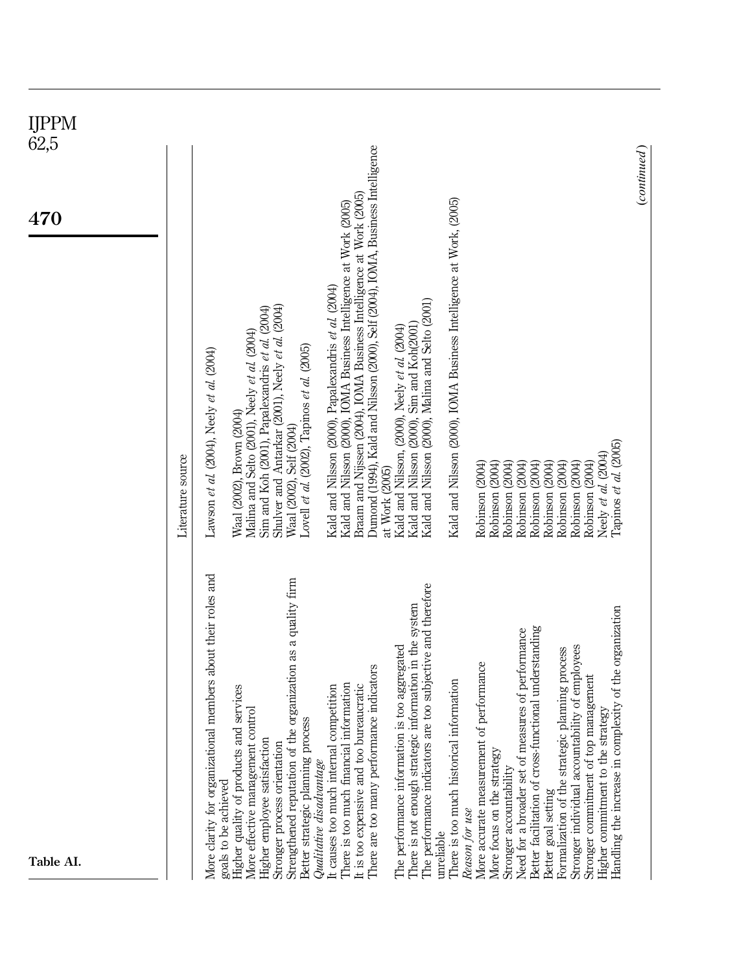| <b>IJPPM</b><br>62,5<br>470 | Literature source | Malina and Selto (2001), Neely et al. (2004)<br>Lawson et al. (2004), Neely et al. (2004)<br>Waal (2002), Brown (2004)                                                   | Shulver and Antarkar (2001), Neely et al. (2004)<br>Sim and Koh (2001), Papalexandris et al. (2004)<br>Lovell et al. (2002), Tapinos et al. (2005)<br>Waal (2002), Self (2004) | Dumond (1994), Kald and Nilsson (2000), Self (2004), IOMA, Business Intelligence<br>Braam and Nijssen (2004), IOMA Business Intelligence at Work (2005)<br>Kald and Nilsson (2000), IOMA Business Intelligence at Work (2005)<br>Kald and Nilsson (2000), Papalexandris et al. (2004)<br>at Work (2005) | Kald and Nilsson (2000), Malina and Selto (2001)<br>Kald and Nilsson (2000), Sim and Koh(2001)<br>Kald and Nilsson, (2000), Neely et al. (2004)                                          | Kald and Nilsson (2000), IOMA Business Intelligence at Work, (2005) | Robinson (2004)<br>Robinson (2004)<br>Robinson (2004)<br>Robinson (2004)<br>Robinson (2004)<br>Robinson (2004)<br>Robinson (2004)<br>Robinson (2004)<br>Robinson (2004)                                                                                                                                                                                                                  |
|-----------------------------|-------------------|--------------------------------------------------------------------------------------------------------------------------------------------------------------------------|--------------------------------------------------------------------------------------------------------------------------------------------------------------------------------|---------------------------------------------------------------------------------------------------------------------------------------------------------------------------------------------------------------------------------------------------------------------------------------------------------|------------------------------------------------------------------------------------------------------------------------------------------------------------------------------------------|---------------------------------------------------------------------|------------------------------------------------------------------------------------------------------------------------------------------------------------------------------------------------------------------------------------------------------------------------------------------------------------------------------------------------------------------------------------------|
| Table AI.                   |                   | More clarity for organizational members about their roles and<br>Higher quality of products and services<br>control<br>More effective management<br>goals to be achieved | Strengthened reputation of the organization as a quality firm<br>Better strategic planning process<br>Higher employee satisfaction<br>Stronger process orientation             | There are too many performance indicators<br>information<br>It is too expensive and too bureaucratic<br>competition<br>It causes too much internal<br>There is too much financial<br>Qualitative disadvantage                                                                                           | are too subjective and therefore<br>There is not enough strategic information in the system<br>The performance information is too aggregated<br>The performance indicators<br>unreliable | information<br>There is too much historical<br>Reason for use       | Better facilitation of cross-functional understanding<br>Need for a broader set of measures of performance<br>Stronger individual accountability of employees<br>Formalization of the strategic planning process<br>of performance<br>Stronger commitment of top management<br>More accurate measurement<br>More focus on the strategy<br>Stronger accountability<br>Better goal setting |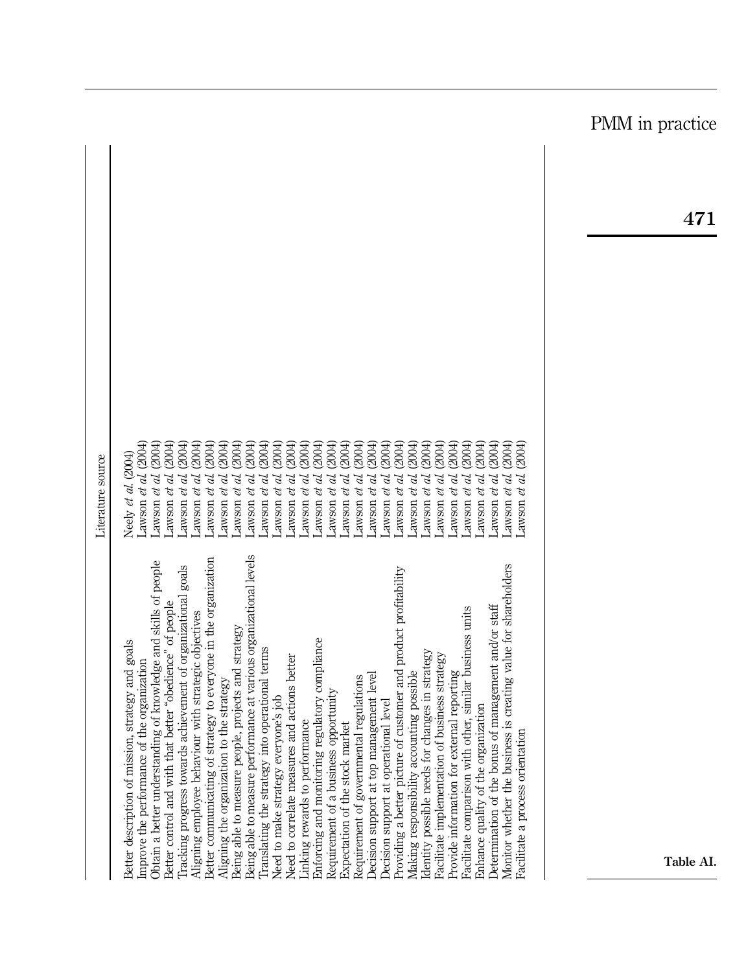| PMM in practice |                                                                                                                                                                                                                                                                                                                                                                                                                                                                                                                                                                                                                                                                                                                                                                                                                                                                                                                                                                                                                                                                                                                                                                                                                                                                                                                                                                |                   |
|-----------------|----------------------------------------------------------------------------------------------------------------------------------------------------------------------------------------------------------------------------------------------------------------------------------------------------------------------------------------------------------------------------------------------------------------------------------------------------------------------------------------------------------------------------------------------------------------------------------------------------------------------------------------------------------------------------------------------------------------------------------------------------------------------------------------------------------------------------------------------------------------------------------------------------------------------------------------------------------------------------------------------------------------------------------------------------------------------------------------------------------------------------------------------------------------------------------------------------------------------------------------------------------------------------------------------------------------------------------------------------------------|-------------------|
| 471             | (2004)<br>(2004)<br>(2004)<br>(2004)<br>(2004)<br>(2004)<br>(2004)<br>(2004)<br>(2004)<br>(2004)<br>(2004)<br>(2004)<br>(2004)<br>(2004)<br>(2004)<br>(2004)<br>(2004)<br>(2004)<br>(2004)<br>(2004)<br>(2004)<br>(2004)<br>(2004)<br>(2004)<br>(2004)<br>(2004)                                                                                                                                                                                                                                                                                                                                                                                                                                                                                                                                                                                                                                                                                                                                                                                                                                                                                                                                                                                                                                                                                               |                   |
|                 | awson et al.<br>awson et al.<br>awson et al.<br>awson et al.<br>awson et al.<br>Jawson et al.<br>Jawson et al.<br>awson et al.<br>awson et al.<br>awson et al.<br>awson et al.<br>awson et al.<br>awson et al.<br>awson et al.<br>awson et al.<br>awson et al.<br>awson et al.<br>awson et al.<br>awson et al.<br>awson et al.<br>awson et al.<br>awson et al.<br>awson et al.<br>awson et al.<br>awson et al.<br>awson et $a$                                                                                                                                                                                                                                                                                                                                                                                                                                                                                                                                                                                                                                                                                                                                                                                                                                                                                                                                 | Literature source |
| Table AI.       | ormance at various organizational levels<br>Better communicating of strategy to everyone in the organization<br>Monitor whether the business is creating value for shareholders<br>racking progress towards achievement of organizational goals<br>Providing a better picture of customer and product profitability<br>betermination of the bonus of management and/or staff<br>Pacilitate comparison with other, similar business units<br>Aligning employee behaviour with strategic objectives<br>Being able to measure people, projects and strategy<br>regulatory compliance<br>Translating the strategy into operational terms<br>dentity possible needs for changes in strategy<br>of business strategy<br>Veed to correlate measures and actions better<br>Provide information for external reporting<br>Making responsibility accounting possible<br>Decision support at top management level<br>Requirement of governmental regulations<br>Aligning the organization to the strategy<br>Requirement of a business opportunity<br>Veed to make strategy everyone's job<br>decision support at operational level<br>Inhance quality of the organization<br>inking rewards to performance<br>Expectation of the stock market<br>Pacilitate a process orientation<br>Being able to measure perf<br>Inforcing and monitoring<br>Pacilitate implementation |                   |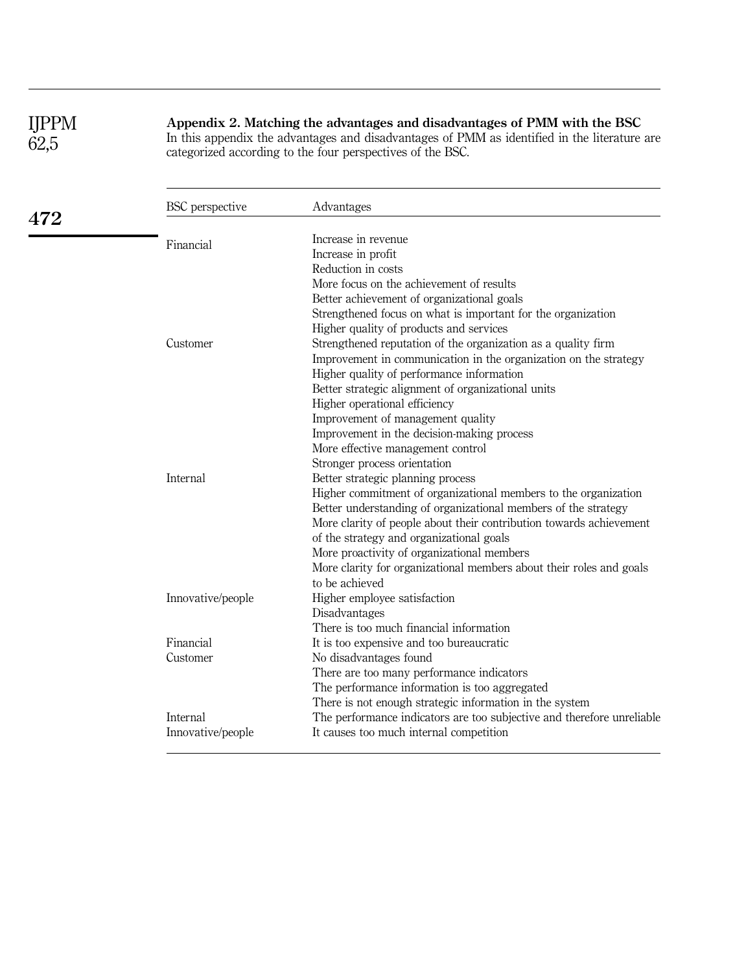IJPPM 62,5

# Appendix 2. Matching the advantages and disadvantages of PMM with the BSC

In this appendix the advantages and disadvantages of PMM as identified in the literature are categorized according to the four perspectives of the BSC.

| 472 | <b>BSC</b> perspective        | Advantages                                                                                                                                                                                                                                                                                                                                                                                                                                                                                                                       |
|-----|-------------------------------|----------------------------------------------------------------------------------------------------------------------------------------------------------------------------------------------------------------------------------------------------------------------------------------------------------------------------------------------------------------------------------------------------------------------------------------------------------------------------------------------------------------------------------|
|     | Financial                     | Increase in revenue<br>Increase in profit<br>Reduction in costs                                                                                                                                                                                                                                                                                                                                                                                                                                                                  |
|     | Customer                      | More focus on the achievement of results<br>Better achievement of organizational goals<br>Strengthened focus on what is important for the organization<br>Higher quality of products and services<br>Strengthened reputation of the organization as a quality firm<br>Improvement in communication in the organization on the strategy<br>Higher quality of performance information<br>Better strategic alignment of organizational units                                                                                        |
|     | Internal                      | Higher operational efficiency<br>Improvement of management quality<br>Improvement in the decision-making process<br>More effective management control<br>Stronger process orientation<br>Better strategic planning process<br>Higher commitment of organizational members to the organization<br>Better understanding of organizational members of the strategy<br>More clarity of people about their contribution towards achievement<br>of the strategy and organizational goals<br>More proactivity of organizational members |
|     | Innovative/people             | More clarity for organizational members about their roles and goals<br>to be achieved<br>Higher employee satisfaction<br>Disadvantages                                                                                                                                                                                                                                                                                                                                                                                           |
|     | Financial<br>Customer         | There is too much financial information<br>It is too expensive and too bureaucratic<br>No disadvantages found<br>There are too many performance indicators<br>The performance information is too aggregated                                                                                                                                                                                                                                                                                                                      |
|     | Internal<br>Innovative/people | There is not enough strategic information in the system<br>The performance indicators are too subjective and therefore unreliable<br>It causes too much internal competition                                                                                                                                                                                                                                                                                                                                                     |